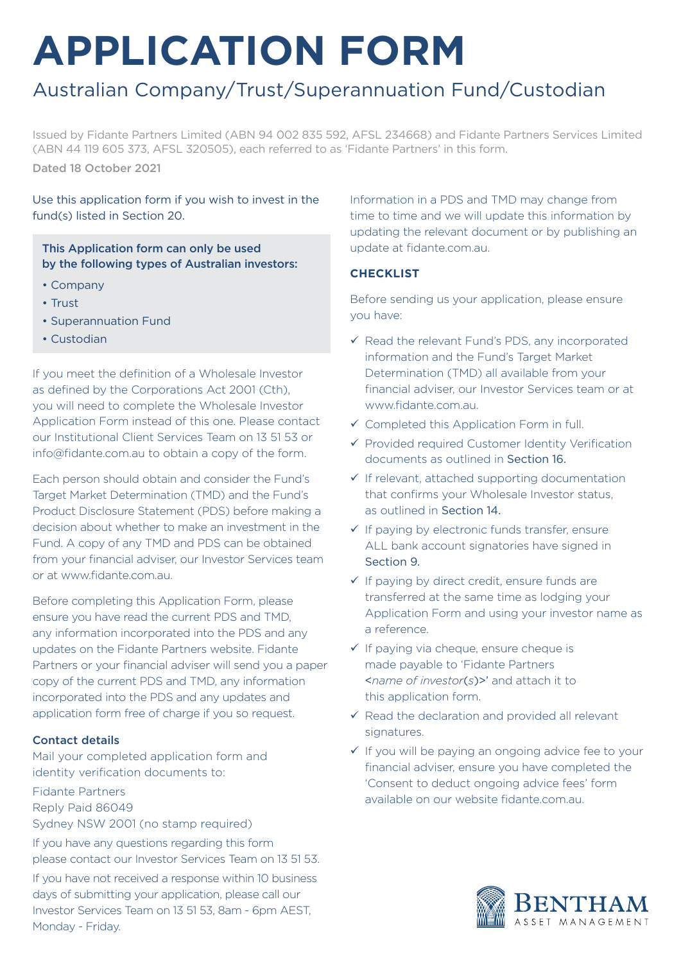# **APPLICATION FORM**

# Australian Company/Trust/Superannuation Fund/Custodian

Issued by Fidante Partners Limited (ABN 94 002 835 592, AFSL 234668) and Fidante Partners Services Limited (ABN 44 119 605 373, AFSL 320505), each referred to as 'Fidante Partners' in this form. Dated 18 October 2021

Use this application form if you wish to invest in the fund(s) listed in Section 20.

This Application form can only be used by the following types of Australian investors:

- Company
- Trust
- Superannuation Fund
- Custodian

If you meet the definition of a Wholesale Investor as defined by the Corporations Act 2001 (Cth), you will need to complete the Wholesale Investor Application Form instead of this one. Please contact our Institutional Client Services Team on 13 51 53 or info@fidante.com.au to obtain a copy of the form.

Each person should obtain and consider the Fund's Target Market Determination (TMD) and the Fund's Product Disclosure Statement (PDS) before making a decision about whether to make an investment in the Fund. A copy of any TMD and PDS can be obtained from your financial adviser, our Investor Services team or at www.fidante.com.au.

Before completing this Application Form, please ensure you have read the current PDS and TMD, any information incorporated into the PDS and any updates on the Fidante Partners website. Fidante Partners or your financial adviser will send you a paper copy of the current PDS and TMD, any information incorporated into the PDS and any updates and application form free of charge if you so request.

### Contact details

Mail your completed application form and identity verification documents to:

Fidante Partners Reply Paid 86049 Sydney NSW 2001 (no stamp required)

If you have any questions regarding this form please contact our Investor Services Team on 13 51 53. If you have not received a response within 10 business days of submitting your application, please call our Investor Services Team on 13 51 53, 8am - 6pm AEST, Monday - Friday.

Information in a PDS and TMD may change from time to time and we will update this information by updating the relevant document or by publishing an update at fidante.com.au.

### **CHECKLIST**

Before sending us your application, please ensure you have:

- $\checkmark$  Read the relevant Fund's PDS, any incorporated information and the Fund's Target Market Determination (TMD) all available from your financial adviser, our Investor Services team or at www.fidante.com.au.
- Completed this Application Form in full.
- $\checkmark$  Provided required Customer Identity Verification documents as outlined in Section 16.
- $\checkmark$  If relevant, attached supporting documentation that confirms your Wholesale Investor status, as outlined in Section 14.
- $\checkmark$  If paying by electronic funds transfer, ensure ALL bank account signatories have signed in Section 9.
- $\checkmark$  If paying by direct credit, ensure funds are transferred at the same time as lodging your Application Form and using your investor name as a reference.
- $\checkmark$  If paying via cheque, ensure cheque is made payable to 'Fidante Partners <*name of investor*(*s*)>' and attach it to this application form.
- $\checkmark$  Read the declaration and provided all relevant signatures.
- $\checkmark$  If you will be paying an ongoing advice fee to your financial adviser, ensure you have completed the 'Consent to deduct ongoing advice fees' form available on our website fidante.com.au.

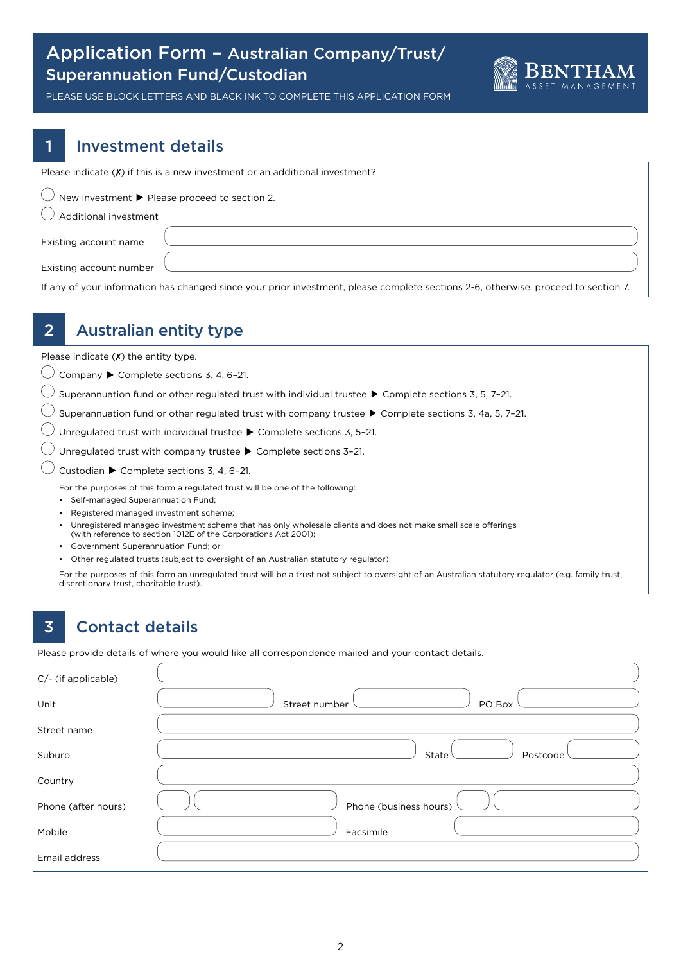### Application Form – Australian Company/Trust/ Superannuation Fund/Custodian



PLEASE USE BLOCK LETTERS AND BLACK INK TO COMPLETE THIS APPLICATION FORM

### 1 Investment details

Please indicate  $(X)$  if this is a new investment or an additional investment?

 $\bigcirc$  New investment  $\blacktriangleright$  Please proceed to section 2.

### $\left(\right)$  Additional investment

Existing account name

Existing account number

If any of your information has changed since your prior investment, please complete sections 2-6, otherwise, proceed to section 7.

### 2 Australian entity type

Please indicate  $(X)$  the entity type.

 $\bigcirc$  Company  $\blacktriangleright$  Complete sections 3, 4, 6-21.

 $\bigcirc$  Superannuation fund or other regulated trust with individual trustee  $\blacktriangleright$  Complete sections 3, 5, 7-21.

 $\bigcirc$  Superannuation fund or other regulated trust with company trustee  $\blacktriangleright$  Complete sections 3, 4a, 5, 7-21.

 $\bigcirc$  Unregulated trust with individual trustee  $\blacktriangleright$  Complete sections 3, 5-21.

 $\bigcirc$  Unregulated trust with company trustee  $\blacktriangleright$  Complete sections 3-21.

 $\bigcirc$  Custodian  $\blacktriangleright$  Complete sections 3, 4, 6-21.

For the purposes of this form a regulated trust will be one of the following:

- Self-managed Superannuation Fund;
- Registered managed investment scheme;

• Unregistered managed investment scheme that has only wholesale clients and does not make small scale offerings (with reference to section 1012E of the Corporations Act 2001);

- Government Superannuation Fund; or
- Other regulated trusts (subject to oversight of an Australian statutory regulator).

 For the purposes of this form an unregulated trust will be a trust not subject to oversight of an Australian statutory regulator (e.g. family trust, discretionary trust, charitable trust).

### 3 Contact details

Please provide details of where you would like all correspondence mailed and your contact details.

| C/- (if applicable) |                         |
|---------------------|-------------------------|
| Unit                | PO Box<br>Street number |
| Street name         |                         |
| Suburb              | State<br>Postcode       |
| Country             |                         |
| Phone (after hours) | Phone (business hours)  |
| Mobile              | Facsimile               |
| Email address       |                         |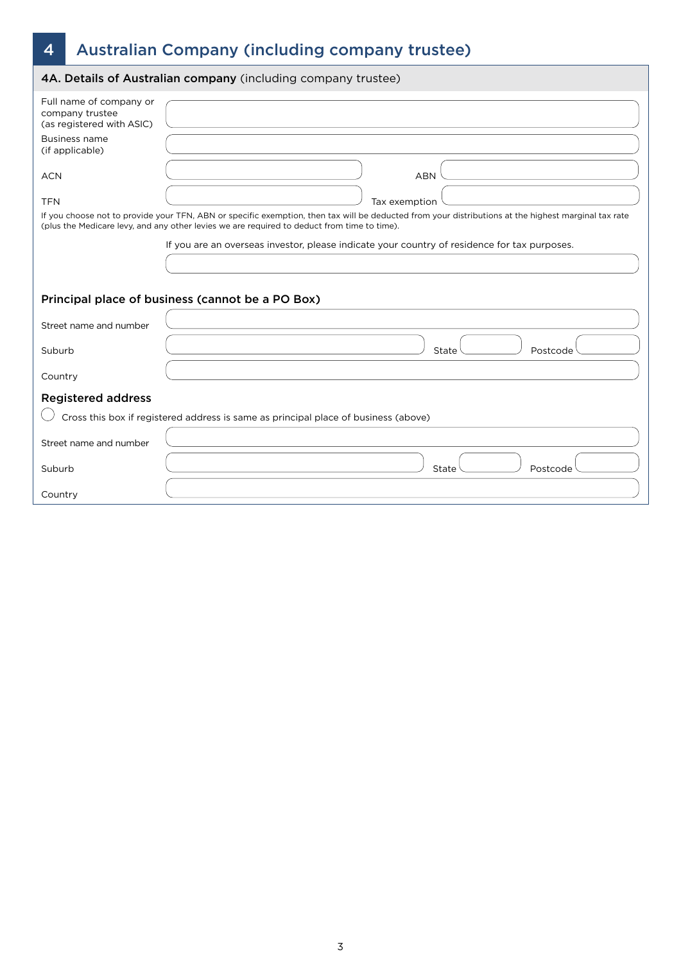# 4 Australian Company (including company trustee)

|                                                                                                             | 4A. Details of Australian company (including company trustee)                                                                                                                                                                                       |
|-------------------------------------------------------------------------------------------------------------|-----------------------------------------------------------------------------------------------------------------------------------------------------------------------------------------------------------------------------------------------------|
| Full name of company or<br>company trustee<br>(as registered with ASIC)<br>Business name<br>(if applicable) |                                                                                                                                                                                                                                                     |
| <b>ACN</b>                                                                                                  | <b>ABN</b>                                                                                                                                                                                                                                          |
| <b>TFN</b>                                                                                                  | Tax exemption                                                                                                                                                                                                                                       |
|                                                                                                             | If you choose not to provide your TFN, ABN or specific exemption, then tax will be deducted from your distributions at the highest marginal tax rate<br>(plus the Medicare levy, and any other levies we are required to deduct from time to time). |
|                                                                                                             | If you are an overseas investor, please indicate your country of residence for tax purposes.                                                                                                                                                        |
|                                                                                                             |                                                                                                                                                                                                                                                     |
|                                                                                                             |                                                                                                                                                                                                                                                     |
|                                                                                                             | Principal place of business (cannot be a PO Box)                                                                                                                                                                                                    |
| Street name and number                                                                                      |                                                                                                                                                                                                                                                     |
| Suburb                                                                                                      | State<br>Postcode                                                                                                                                                                                                                                   |
| Country                                                                                                     |                                                                                                                                                                                                                                                     |
| <b>Registered address</b>                                                                                   |                                                                                                                                                                                                                                                     |
|                                                                                                             | Cross this box if registered address is same as principal place of business (above)                                                                                                                                                                 |
| Street name and number                                                                                      |                                                                                                                                                                                                                                                     |
| Suburb                                                                                                      | State<br>Postcode                                                                                                                                                                                                                                   |
| Country                                                                                                     |                                                                                                                                                                                                                                                     |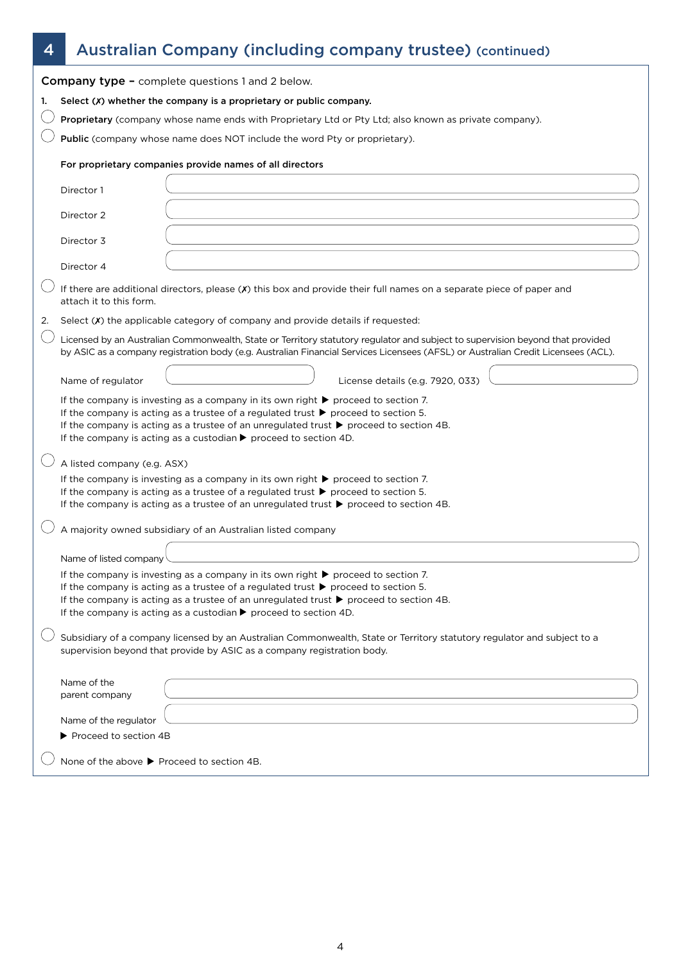# 4 Australian Company (including company trustee) (continued)

|    |                                                                                                                                                                                                                                                                                                                               | <b>Company type - complete questions 1 and 2 below.</b>                                                                                                                                                                                                                                                                                                                                                               |  |  |  |
|----|-------------------------------------------------------------------------------------------------------------------------------------------------------------------------------------------------------------------------------------------------------------------------------------------------------------------------------|-----------------------------------------------------------------------------------------------------------------------------------------------------------------------------------------------------------------------------------------------------------------------------------------------------------------------------------------------------------------------------------------------------------------------|--|--|--|
| 1. | Select $(X)$ whether the company is a proprietary or public company.                                                                                                                                                                                                                                                          |                                                                                                                                                                                                                                                                                                                                                                                                                       |  |  |  |
|    | Proprietary (company whose name ends with Proprietary Ltd or Pty Ltd; also known as private company).                                                                                                                                                                                                                         |                                                                                                                                                                                                                                                                                                                                                                                                                       |  |  |  |
|    | Public (company whose name does NOT include the word Pty or proprietary).                                                                                                                                                                                                                                                     |                                                                                                                                                                                                                                                                                                                                                                                                                       |  |  |  |
|    | For proprietary companies provide names of all directors                                                                                                                                                                                                                                                                      |                                                                                                                                                                                                                                                                                                                                                                                                                       |  |  |  |
|    | Director 1                                                                                                                                                                                                                                                                                                                    |                                                                                                                                                                                                                                                                                                                                                                                                                       |  |  |  |
|    | Director 2                                                                                                                                                                                                                                                                                                                    |                                                                                                                                                                                                                                                                                                                                                                                                                       |  |  |  |
|    | Director 3                                                                                                                                                                                                                                                                                                                    |                                                                                                                                                                                                                                                                                                                                                                                                                       |  |  |  |
|    | Director 4                                                                                                                                                                                                                                                                                                                    |                                                                                                                                                                                                                                                                                                                                                                                                                       |  |  |  |
|    | attach it to this form.                                                                                                                                                                                                                                                                                                       | If there are additional directors, please (X) this box and provide their full names on a separate piece of paper and                                                                                                                                                                                                                                                                                                  |  |  |  |
| 2. |                                                                                                                                                                                                                                                                                                                               | Select $(X)$ the applicable category of company and provide details if requested:                                                                                                                                                                                                                                                                                                                                     |  |  |  |
|    |                                                                                                                                                                                                                                                                                                                               | Licensed by an Australian Commonwealth, State or Territory statutory regulator and subject to supervision beyond that provided<br>by ASIC as a company registration body (e.g. Australian Financial Services Licensees (AFSL) or Australian Credit Licensees (ACL).                                                                                                                                                   |  |  |  |
|    | Name of regulator                                                                                                                                                                                                                                                                                                             | License details (e.g. 7920, 033)                                                                                                                                                                                                                                                                                                                                                                                      |  |  |  |
|    |                                                                                                                                                                                                                                                                                                                               | If the company is investing as a company in its own right $\blacktriangleright$ proceed to section 7.<br>If the company is acting as a trustee of a regulated trust $\blacktriangleright$ proceed to section 5.<br>If the company is acting as a trustee of an unregulated trust $\blacktriangleright$ proceed to section 4B.<br>If the company is acting as a custodian $\blacktriangleright$ proceed to section 4D. |  |  |  |
|    | A listed company (e.g. ASX)                                                                                                                                                                                                                                                                                                   |                                                                                                                                                                                                                                                                                                                                                                                                                       |  |  |  |
|    | If the company is investing as a company in its own right $\blacktriangleright$ proceed to section 7.<br>If the company is acting as a trustee of a regulated trust $\blacktriangleright$ proceed to section 5.<br>If the company is acting as a trustee of an unregulated trust $\blacktriangleright$ proceed to section 4B. |                                                                                                                                                                                                                                                                                                                                                                                                                       |  |  |  |
|    |                                                                                                                                                                                                                                                                                                                               | A majority owned subsidiary of an Australian listed company                                                                                                                                                                                                                                                                                                                                                           |  |  |  |
|    | Name of listed company                                                                                                                                                                                                                                                                                                        |                                                                                                                                                                                                                                                                                                                                                                                                                       |  |  |  |
|    |                                                                                                                                                                                                                                                                                                                               | If the company is investing as a company in its own right $\blacktriangleright$ proceed to section 7.<br>If the company is acting as a trustee of a regulated trust $\blacktriangleright$ proceed to section 5.<br>If the company is acting as a trustee of an unregulated trust $\blacktriangleright$ proceed to section 4B.<br>If the company is acting as a custodian $\blacktriangleright$ proceed to section 4D. |  |  |  |
|    |                                                                                                                                                                                                                                                                                                                               | Subsidiary of a company licensed by an Australian Commonwealth, State or Territory statutory regulator and subject to a<br>supervision beyond that provide by ASIC as a company registration body.                                                                                                                                                                                                                    |  |  |  |
|    | Name of the<br>parent company                                                                                                                                                                                                                                                                                                 |                                                                                                                                                                                                                                                                                                                                                                                                                       |  |  |  |
|    | Name of the regulator                                                                                                                                                                                                                                                                                                         |                                                                                                                                                                                                                                                                                                                                                                                                                       |  |  |  |
|    | Proceed to section 4B                                                                                                                                                                                                                                                                                                         |                                                                                                                                                                                                                                                                                                                                                                                                                       |  |  |  |
|    | None of the above ▶ Proceed to section 4B.                                                                                                                                                                                                                                                                                    |                                                                                                                                                                                                                                                                                                                                                                                                                       |  |  |  |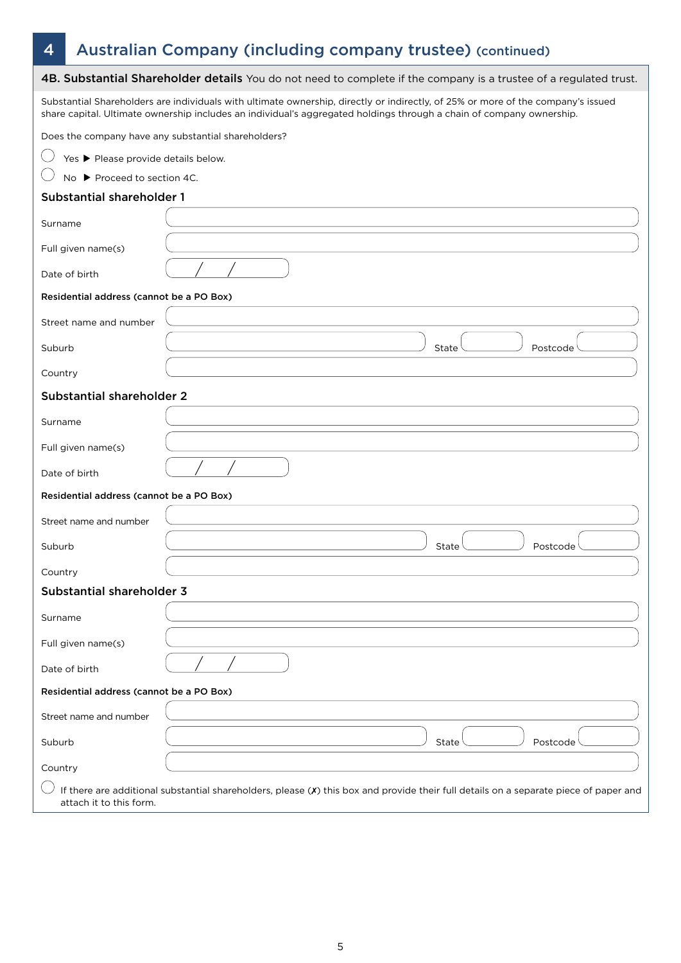# 4 Australian Company (including company trustee) (continued)

|                                                     | 4B. Substantial Shareholder details You do not need to complete if the company is a trustee of a regulated trust.                                                                                                                                        |
|-----------------------------------------------------|----------------------------------------------------------------------------------------------------------------------------------------------------------------------------------------------------------------------------------------------------------|
|                                                     | Substantial Shareholders are individuals with ultimate ownership, directly or indirectly, of 25% or more of the company's issued<br>share capital. Ultimate ownership includes an individual's aggregated holdings through a chain of company ownership. |
| Does the company have any substantial shareholders? |                                                                                                                                                                                                                                                          |
| Yes ▶ Please provide details below.                 |                                                                                                                                                                                                                                                          |
| No ▶ Proceed to section 4C.                         |                                                                                                                                                                                                                                                          |
| <b>Substantial shareholder 1</b>                    |                                                                                                                                                                                                                                                          |
| Surname                                             |                                                                                                                                                                                                                                                          |
| Full given name(s)                                  |                                                                                                                                                                                                                                                          |
| Date of birth                                       |                                                                                                                                                                                                                                                          |
| Residential address (cannot be a PO Box)            |                                                                                                                                                                                                                                                          |
| Street name and number                              |                                                                                                                                                                                                                                                          |
| Suburb                                              | State<br>Postcode                                                                                                                                                                                                                                        |
| Country                                             |                                                                                                                                                                                                                                                          |
| Substantial shareholder 2                           |                                                                                                                                                                                                                                                          |
| Surname                                             |                                                                                                                                                                                                                                                          |
| Full given name(s)                                  |                                                                                                                                                                                                                                                          |
| Date of birth                                       |                                                                                                                                                                                                                                                          |
| Residential address (cannot be a PO Box)            |                                                                                                                                                                                                                                                          |
| Street name and number                              |                                                                                                                                                                                                                                                          |
| Suburb                                              | State<br>Postcode                                                                                                                                                                                                                                        |
| Country                                             |                                                                                                                                                                                                                                                          |
| Substantial shareholder 3                           |                                                                                                                                                                                                                                                          |
| Surname                                             |                                                                                                                                                                                                                                                          |
| Full given name(s)                                  |                                                                                                                                                                                                                                                          |
| Date of birth                                       |                                                                                                                                                                                                                                                          |
| Residential address (cannot be a PO Box)            |                                                                                                                                                                                                                                                          |
| Street name and number                              |                                                                                                                                                                                                                                                          |
| Suburb                                              | Postcode<br>State                                                                                                                                                                                                                                        |
| Country                                             |                                                                                                                                                                                                                                                          |
| attach it to this form.                             | If there are additional substantial shareholders, please (X) this box and provide their full details on a separate piece of paper and                                                                                                                    |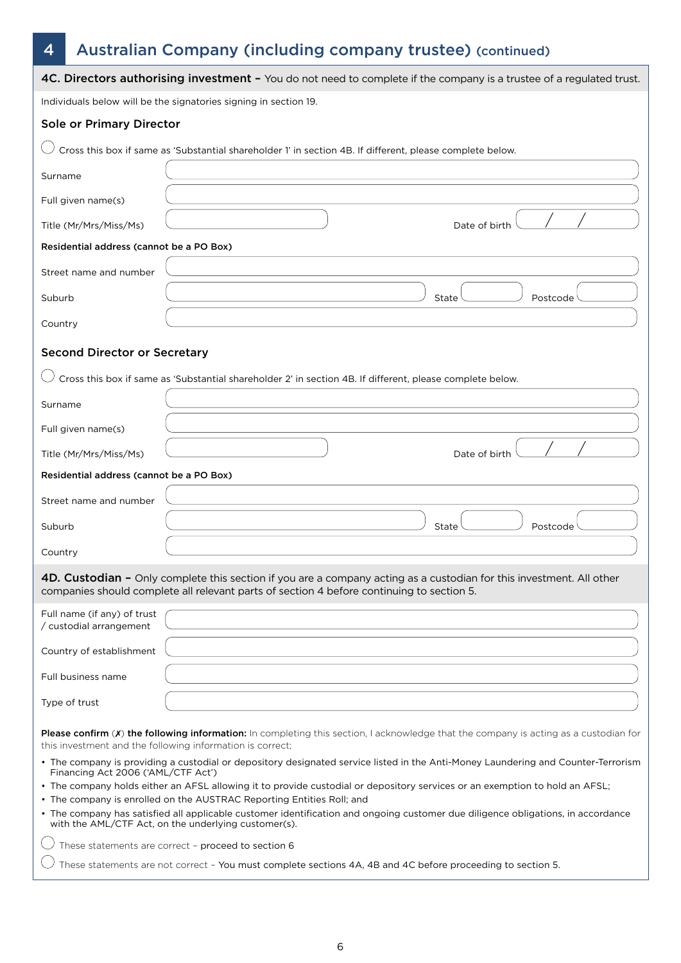# 4 Australian Company (including company trustee) (continued)

|                                                                                                                                                                                                      | 4C. Directors authorising investment - You do not need to complete if the company is a trustee of a regulated trust.                                                                                              |  |
|------------------------------------------------------------------------------------------------------------------------------------------------------------------------------------------------------|-------------------------------------------------------------------------------------------------------------------------------------------------------------------------------------------------------------------|--|
|                                                                                                                                                                                                      | Individuals below will be the signatories signing in section 19.                                                                                                                                                  |  |
| Sole or Primary Director                                                                                                                                                                             |                                                                                                                                                                                                                   |  |
|                                                                                                                                                                                                      | Cross this box if same as 'Substantial shareholder 1' in section 4B. If different, please complete below.                                                                                                         |  |
| Surname                                                                                                                                                                                              |                                                                                                                                                                                                                   |  |
| Full given name(s)                                                                                                                                                                                   |                                                                                                                                                                                                                   |  |
| Title (Mr/Mrs/Miss/Ms)                                                                                                                                                                               | Date of birth                                                                                                                                                                                                     |  |
| Residential address (cannot be a PO Box)                                                                                                                                                             |                                                                                                                                                                                                                   |  |
| Street name and number                                                                                                                                                                               |                                                                                                                                                                                                                   |  |
| Suburb                                                                                                                                                                                               | State<br>Postcode                                                                                                                                                                                                 |  |
| Country                                                                                                                                                                                              |                                                                                                                                                                                                                   |  |
| <b>Second Director or Secretary</b>                                                                                                                                                                  |                                                                                                                                                                                                                   |  |
|                                                                                                                                                                                                      | Cross this box if same as 'Substantial shareholder 2' in section 4B. If different, please complete below.                                                                                                         |  |
| Surname                                                                                                                                                                                              |                                                                                                                                                                                                                   |  |
| Full given name(s)                                                                                                                                                                                   |                                                                                                                                                                                                                   |  |
| Title (Mr/Mrs/Miss/Ms)                                                                                                                                                                               | Date of birth                                                                                                                                                                                                     |  |
| Residential address (cannot be a PO Box)                                                                                                                                                             |                                                                                                                                                                                                                   |  |
| Street name and number                                                                                                                                                                               |                                                                                                                                                                                                                   |  |
| Suburb                                                                                                                                                                                               | Postcode<br>State                                                                                                                                                                                                 |  |
| Country                                                                                                                                                                                              |                                                                                                                                                                                                                   |  |
|                                                                                                                                                                                                      | 4D. Custodian - Only complete this section if you are a company acting as a custodian for this investment. All other<br>companies should complete all relevant parts of section 4 before continuing to section 5. |  |
| Full name (if any) of trust                                                                                                                                                                          |                                                                                                                                                                                                                   |  |
| / custodial arrangement<br>Country of establishment                                                                                                                                                  |                                                                                                                                                                                                                   |  |
|                                                                                                                                                                                                      |                                                                                                                                                                                                                   |  |
| Full business name                                                                                                                                                                                   |                                                                                                                                                                                                                   |  |
| Type of trust                                                                                                                                                                                        |                                                                                                                                                                                                                   |  |
|                                                                                                                                                                                                      | Please confirm (X) the following information: In completing this section, I acknowledge that the company is acting as a custodian for<br>this investment and the following information is correct;                |  |
| Financing Act 2006 ('AML/CTF Act')                                                                                                                                                                   | • The company is providing a custodial or depository designated service listed in the Anti-Money Laundering and Counter-Terrorism                                                                                 |  |
| • The company holds either an AFSL allowing it to provide custodial or depository services or an exemption to hold an AFSL;<br>• The company is enrolled on the AUSTRAC Reporting Entities Roll; and |                                                                                                                                                                                                                   |  |
|                                                                                                                                                                                                      | • The company has satisfied all applicable customer identification and ongoing customer due diligence obligations, in accordance<br>with the AML/CTF Act, on the underlying customer(s).                          |  |
|                                                                                                                                                                                                      | These statements are correct - proceed to section 6                                                                                                                                                               |  |

 $\bigcirc$  These statements are not correct - You must complete sections 4A, 4B and 4C before proceeding to section 5.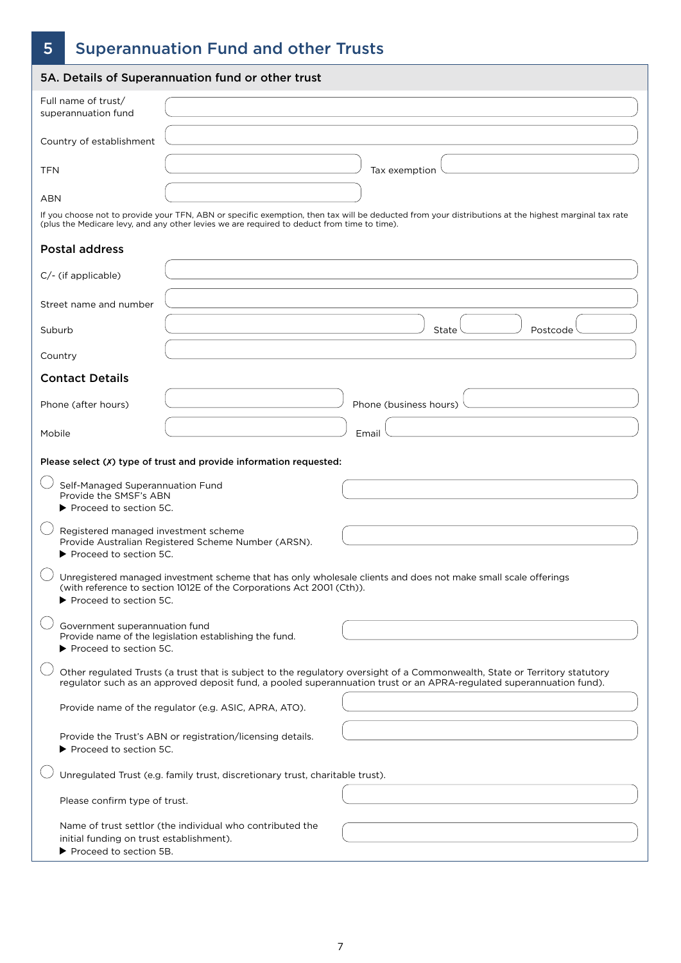# 5 Superannuation Fund and other Trusts

|                                                                                        | 5A. Details of Superannuation fund or other trust                                                                                                                                                                                                   |                        |          |
|----------------------------------------------------------------------------------------|-----------------------------------------------------------------------------------------------------------------------------------------------------------------------------------------------------------------------------------------------------|------------------------|----------|
| Full name of trust/<br>superannuation fund                                             |                                                                                                                                                                                                                                                     |                        |          |
| Country of establishment                                                               |                                                                                                                                                                                                                                                     |                        |          |
| <b>TFN</b>                                                                             |                                                                                                                                                                                                                                                     | Tax exemption          |          |
| ABN                                                                                    |                                                                                                                                                                                                                                                     |                        |          |
|                                                                                        | If you choose not to provide your TFN, ABN or specific exemption, then tax will be deducted from your distributions at the highest marginal tax rate<br>(plus the Medicare levy, and any other levies we are required to deduct from time to time). |                        |          |
| <b>Postal address</b>                                                                  |                                                                                                                                                                                                                                                     |                        |          |
| C/- (if applicable)                                                                    |                                                                                                                                                                                                                                                     |                        |          |
| Street name and number                                                                 |                                                                                                                                                                                                                                                     |                        |          |
| Suburb                                                                                 |                                                                                                                                                                                                                                                     | State                  | Postcode |
| Country                                                                                |                                                                                                                                                                                                                                                     |                        |          |
| <b>Contact Details</b>                                                                 |                                                                                                                                                                                                                                                     |                        |          |
| Phone (after hours)                                                                    |                                                                                                                                                                                                                                                     | Phone (business hours) |          |
| Mobile                                                                                 |                                                                                                                                                                                                                                                     | Email                  |          |
|                                                                                        | Please select (X) type of trust and provide information requested:                                                                                                                                                                                  |                        |          |
| Self-Managed Superannuation Fund<br>Provide the SMSF's ABN<br>▶ Proceed to section 5C. |                                                                                                                                                                                                                                                     |                        |          |
| Registered managed investment scheme<br>▶ Proceed to section 5C.                       | Provide Australian Registered Scheme Number (ARSN).                                                                                                                                                                                                 |                        |          |
| ▶ Proceed to section 5C.                                                               | Unregistered managed investment scheme that has only wholesale clients and does not make small scale offerings<br>(with reference to section 1012E of the Corporations Act 2001 (Cth)).                                                             |                        |          |
| Government superannuation fund<br>Proceed to section 5C.                               | Provide name of the legislation establishing the fund.                                                                                                                                                                                              |                        |          |
|                                                                                        | Other regulated Trusts (a trust that is subject to the regulatory oversight of a Commonwealth, State or Territory statutory<br>regulator such as an approved deposit fund, a pooled superannuation trust or an APRA-regulated superannuation fund). |                        |          |
|                                                                                        | Provide name of the regulator (e.g. ASIC, APRA, ATO).                                                                                                                                                                                               |                        |          |
| ▶ Proceed to section 5C.                                                               | Provide the Trust's ABN or registration/licensing details.                                                                                                                                                                                          |                        |          |
|                                                                                        | Unregulated Trust (e.g. family trust, discretionary trust, charitable trust).                                                                                                                                                                       |                        |          |
| Please confirm type of trust.                                                          |                                                                                                                                                                                                                                                     |                        |          |
| initial funding on trust establishment).<br>▶ Proceed to section 5B.                   | Name of trust settlor (the individual who contributed the                                                                                                                                                                                           |                        |          |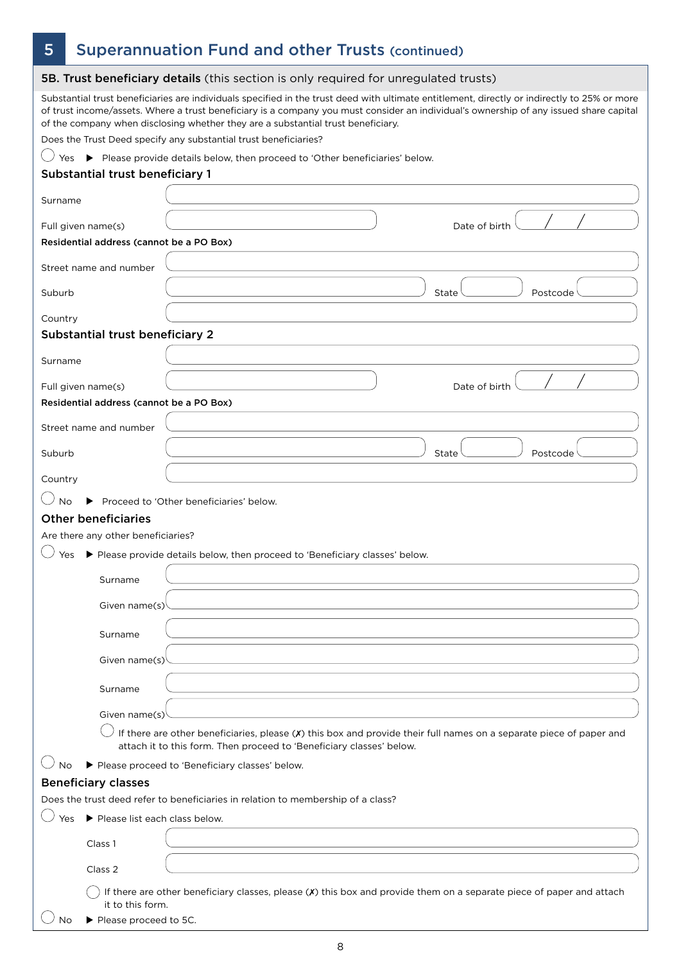# 5 Superannuation Fund and other Trusts (continued)

|                    |                                          | 5B. Trust beneficiary details (this section is only required for unregulated trusts)                                                                                                                                                                                                                                                                                       |
|--------------------|------------------------------------------|----------------------------------------------------------------------------------------------------------------------------------------------------------------------------------------------------------------------------------------------------------------------------------------------------------------------------------------------------------------------------|
|                    |                                          | Substantial trust beneficiaries are individuals specified in the trust deed with ultimate entitlement, directly or indirectly to 25% or more<br>of trust income/assets. Where a trust beneficiary is a company you must consider an individual's ownership of any issued share capital<br>of the company when disclosing whether they are a substantial trust beneficiary. |
|                    |                                          | Does the Trust Deed specify any substantial trust beneficiaries?                                                                                                                                                                                                                                                                                                           |
| Yes                | Substantial trust beneficiary 1          | Please provide details below, then proceed to 'Other beneficiaries' below.                                                                                                                                                                                                                                                                                                 |
| Surname            |                                          |                                                                                                                                                                                                                                                                                                                                                                            |
|                    |                                          |                                                                                                                                                                                                                                                                                                                                                                            |
| Full given name(s) | Residential address (cannot be a PO Box) | Date of birth                                                                                                                                                                                                                                                                                                                                                              |
|                    | Street name and number                   |                                                                                                                                                                                                                                                                                                                                                                            |
| Suburb             |                                          | State<br>Postcode                                                                                                                                                                                                                                                                                                                                                          |
| Country            |                                          |                                                                                                                                                                                                                                                                                                                                                                            |
|                    | Substantial trust beneficiary 2          |                                                                                                                                                                                                                                                                                                                                                                            |
| Surname            |                                          |                                                                                                                                                                                                                                                                                                                                                                            |
| Full given name(s) |                                          | Date of birth                                                                                                                                                                                                                                                                                                                                                              |
|                    | Residential address (cannot be a PO Box) |                                                                                                                                                                                                                                                                                                                                                                            |
|                    | Street name and number                   |                                                                                                                                                                                                                                                                                                                                                                            |
| Suburb             |                                          | Postcode<br>State                                                                                                                                                                                                                                                                                                                                                          |
| Country            |                                          |                                                                                                                                                                                                                                                                                                                                                                            |
| <b>No</b>          |                                          | Proceed to 'Other beneficiaries' below.                                                                                                                                                                                                                                                                                                                                    |
|                    | <b>Other beneficiaries</b>               |                                                                                                                                                                                                                                                                                                                                                                            |
|                    | Are there any other beneficiaries?       |                                                                                                                                                                                                                                                                                                                                                                            |
| Yes                |                                          | Please provide details below, then proceed to 'Beneficiary classes' below.                                                                                                                                                                                                                                                                                                 |
|                    | Surname                                  |                                                                                                                                                                                                                                                                                                                                                                            |
|                    | Given name(s)                            |                                                                                                                                                                                                                                                                                                                                                                            |
|                    | Surname                                  |                                                                                                                                                                                                                                                                                                                                                                            |
|                    | Given name(s)                            |                                                                                                                                                                                                                                                                                                                                                                            |
|                    | Surname                                  |                                                                                                                                                                                                                                                                                                                                                                            |
|                    | Given name(s)                            |                                                                                                                                                                                                                                                                                                                                                                            |
|                    |                                          | If there are other beneficiaries, please (X) this box and provide their full names on a separate piece of paper and<br>attach it to this form. Then proceed to 'Beneficiary classes' below.                                                                                                                                                                                |
| Nο                 |                                          | Please proceed to 'Beneficiary classes' below.                                                                                                                                                                                                                                                                                                                             |
|                    | <b>Beneficiary classes</b>               |                                                                                                                                                                                                                                                                                                                                                                            |
|                    |                                          | Does the trust deed refer to beneficiaries in relation to membership of a class?                                                                                                                                                                                                                                                                                           |
| Yes                | Please list each class below.            |                                                                                                                                                                                                                                                                                                                                                                            |
|                    | Class 1                                  |                                                                                                                                                                                                                                                                                                                                                                            |
|                    | Class 2                                  |                                                                                                                                                                                                                                                                                                                                                                            |
|                    | it to this form.                         | If there are other beneficiary classes, please (X) this box and provide them on a separate piece of paper and attach                                                                                                                                                                                                                                                       |
| No                 | Please proceed to 5C.                    |                                                                                                                                                                                                                                                                                                                                                                            |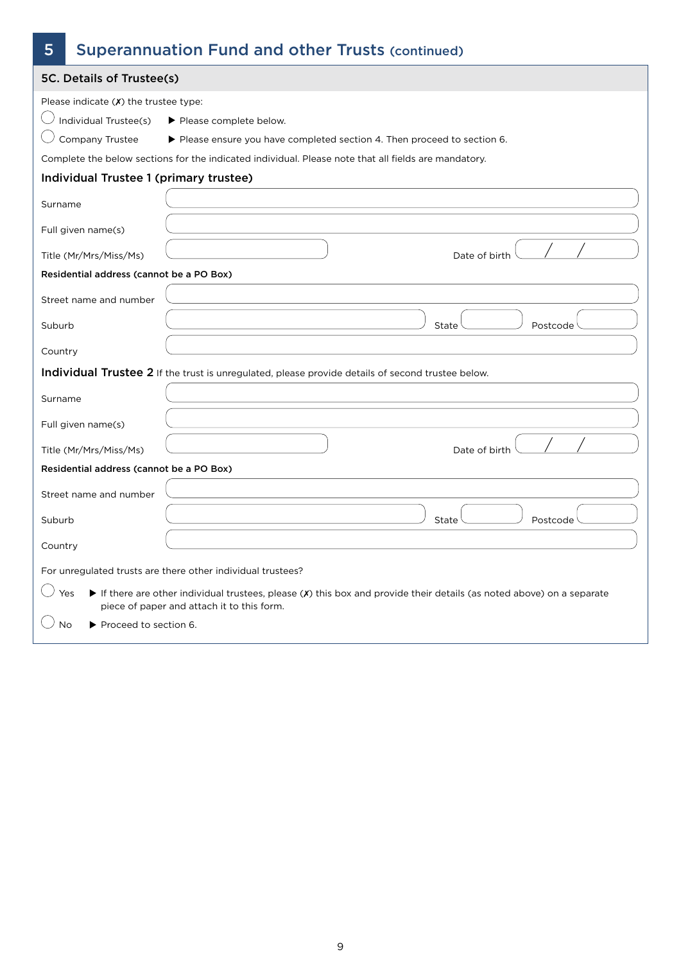| 5       |                                          | <b>Superannuation Fund and other Trusts (continued)</b>                                                                                                              |
|---------|------------------------------------------|----------------------------------------------------------------------------------------------------------------------------------------------------------------------|
|         | 5C. Details of Trustee(s)                |                                                                                                                                                                      |
|         | Please indicate $(X)$ the trustee type:  |                                                                                                                                                                      |
|         | Individual Trustee(s)                    | Please complete below.                                                                                                                                               |
|         | Company Trustee                          | Please ensure you have completed section 4. Then proceed to section 6.                                                                                               |
|         |                                          | Complete the below sections for the indicated individual. Please note that all fields are mandatory.                                                                 |
|         | Individual Trustee 1 (primary trustee)   |                                                                                                                                                                      |
| Surname |                                          |                                                                                                                                                                      |
|         | Full given name(s)                       |                                                                                                                                                                      |
|         | Title (Mr/Mrs/Miss/Ms)                   | Date of birth                                                                                                                                                        |
|         | Residential address (cannot be a PO Box) |                                                                                                                                                                      |
|         | Street name and number                   |                                                                                                                                                                      |
| Suburb  |                                          | Postcode<br>State                                                                                                                                                    |
| Country |                                          |                                                                                                                                                                      |
|         |                                          | Individual Trustee 2 If the trust is unregulated, please provide details of second trustee below.                                                                    |
| Surname |                                          |                                                                                                                                                                      |
|         | Full given name(s)                       |                                                                                                                                                                      |
|         | Title (Mr/Mrs/Miss/Ms)                   | Date of birth                                                                                                                                                        |
|         | Residential address (cannot be a PO Box) |                                                                                                                                                                      |
|         | Street name and number                   |                                                                                                                                                                      |
| Suburb  |                                          | State<br>Postcode                                                                                                                                                    |
| Country |                                          |                                                                                                                                                                      |
|         |                                          | For unregulated trusts are there other individual trustees?                                                                                                          |
|         | Yes                                      | If there are other individual trustees, please $(x)$ this box and provide their details (as noted above) on a separate<br>piece of paper and attach it to this form. |
|         | Proceed to section 6.<br>No              |                                                                                                                                                                      |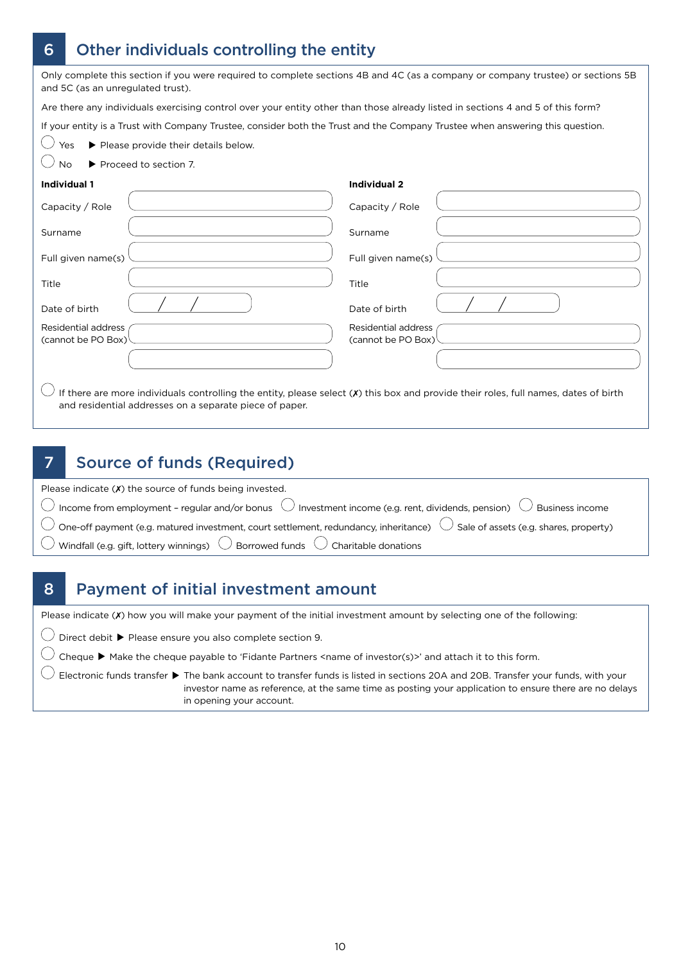# 6 Other individuals controlling the entity

| Only complete this section if you were required to complete sections 4B and 4C (as a company or company trustee) or sections 5B<br>and 5C (as an unregulated trust). |                                                                                                                                        |
|----------------------------------------------------------------------------------------------------------------------------------------------------------------------|----------------------------------------------------------------------------------------------------------------------------------------|
| Are there any individuals exercising control over your entity other than those already listed in sections 4 and 5 of this form?                                      |                                                                                                                                        |
| If your entity is a Trust with Company Trustee, consider both the Trust and the Company Trustee when answering this question.                                        |                                                                                                                                        |
| Yes<br>Please provide their details below.                                                                                                                           |                                                                                                                                        |
| ▶ Proceed to section 7.<br><b>No</b>                                                                                                                                 |                                                                                                                                        |
| <b>Individual 1</b>                                                                                                                                                  | <b>Individual 2</b>                                                                                                                    |
| Capacity / Role                                                                                                                                                      | Capacity / Role                                                                                                                        |
| Surname                                                                                                                                                              | Surname                                                                                                                                |
| Full given name(s)                                                                                                                                                   | Full given name(s)                                                                                                                     |
| Title                                                                                                                                                                | Title                                                                                                                                  |
| Date of birth                                                                                                                                                        | Date of birth                                                                                                                          |
| <b>Residential address</b><br>(cannot be PO Box)                                                                                                                     | Residential address<br>(cannot be PO Box)                                                                                              |
|                                                                                                                                                                      |                                                                                                                                        |
| and residential addresses on a separate piece of paper.                                                                                                              | If there are more individuals controlling the entity, please select $(X)$ this box and provide their roles, full names, dates of birth |

### 7 Source of funds (Required)

| Please indicate $(X)$ the source of funds being invested.                                                                                                                         |  |
|-----------------------------------------------------------------------------------------------------------------------------------------------------------------------------------|--|
| $\overline{\bigcirc}$ Income from employment - regular and/or bonus $\overline{\bigcirc}$ Investment income (e.g. rent, dividends, pension) $\overline{\bigcirc}$ Business income |  |
| $\bigcirc$ One-off payment (e.g. matured investment, court settlement, redundancy, inheritance) $\bigcirc$ Sale of assets (e.g. shares, property)                                 |  |
| $\overline{\bigcirc}$ Windfall (e.g. gift, lottery winnings) $\overline{\bigcirc}$ Borrowed funds $\overline{\bigcirc}$ Charitable donations                                      |  |

### 8 Payment of initial investment amount

Please indicate (X) how you will make your payment of the initial investment amount by selecting one of the following:

 $\bigcirc$  Direct debit  $\blacktriangleright$  Please ensure you also complete section 9.

 $\bigcirc$  Cheque  $\blacktriangleright$  Make the cheque payable to 'Fidante Partners <name of investor(s)>' and attach it to this form.

 $\bigcirc$  Electronic funds transfer  $\blacktriangleright$  The bank account to transfer funds is listed in sections 20A and 20B. Transfer your funds, with your investor name as reference, at the same time as posting your application to ensure there are no delays in opening your account.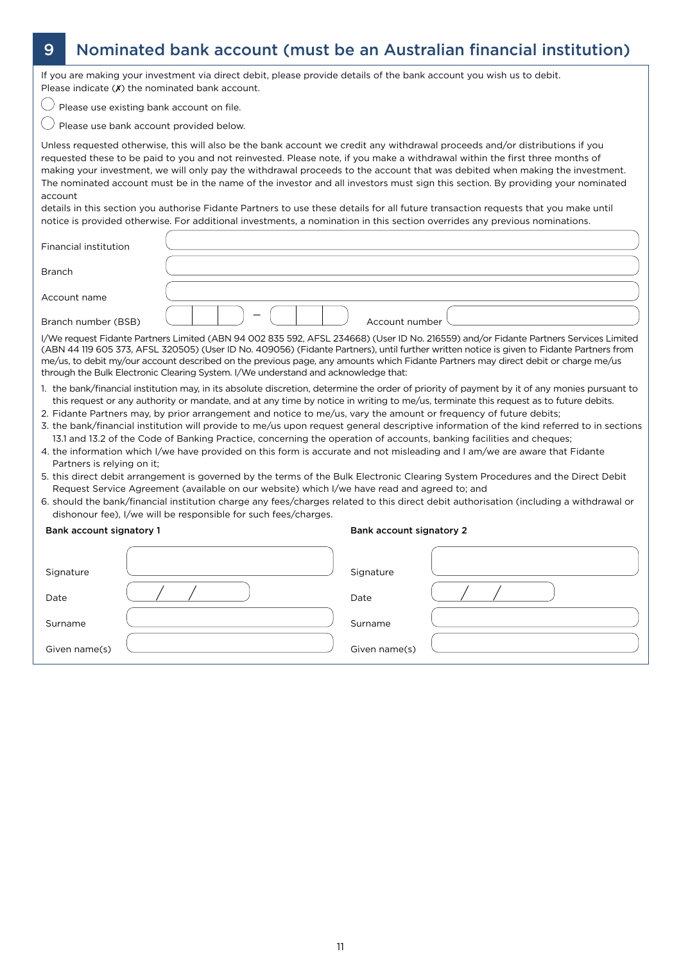# 9 Nominated bank account (must be an Australian financial institution)

If you are making your investment via direct debit, please provide details of the bank account you wish us to debit. Please indicate  $(X)$  the nominated bank account.

 $\bigcirc$  Please use existing bank account on file.

 $\bigcirc$  Please use bank account provided below.

Unless requested otherwise, this will also be the bank account we credit any withdrawal proceeds and/or distributions if you requested these to be paid to you and not reinvested. Please note, if you make a withdrawal within the first three months of making your investment, we will only pay the withdrawal proceeds to the account that was debited when making the investment. The nominated account must be in the name of the investor and all investors must sign this section. By providing your nominated account

details in this section you authorise Fidante Partners to use these details for all future transaction requests that you make until notice is provided otherwise. For additional investments, a nomination in this section overrides any previous nominations.

| Financial institution |                                                                                                                                                                                                                                                                                                                                                                                                                                                                                                                |
|-----------------------|----------------------------------------------------------------------------------------------------------------------------------------------------------------------------------------------------------------------------------------------------------------------------------------------------------------------------------------------------------------------------------------------------------------------------------------------------------------------------------------------------------------|
| <b>Branch</b>         |                                                                                                                                                                                                                                                                                                                                                                                                                                                                                                                |
| Account name          |                                                                                                                                                                                                                                                                                                                                                                                                                                                                                                                |
| Branch number (BSB)   | Account number                                                                                                                                                                                                                                                                                                                                                                                                                                                                                                 |
|                       | I/We request Fidante Partners Limited (ABN 94 002 835 592, AFSL 234668) (User ID No. 216559) and/or Fidante Partners Services Limited<br>(ABN 44 119 605 373, AFSL 320505) (User ID No. 409056) (Fidante Partners), until further written notice is given to Fidante Partners from<br>me/us, to debit my/our account described on the previous page, any amounts which Fidante Partners may direct debit or charge me/us<br>through the Bulk Electronic Clearing System. I/We understand and acknowledge that: |
|                       |                                                                                                                                                                                                                                                                                                                                                                                                                                                                                                                |

- 1. the bank/financial institution may, in its absolute discretion, determine the order of priority of payment by it of any monies pursuant to this request or any authority or mandate, and at any time by notice in writing to me/us, terminate this request as to future debits.
- 2. Fidante Partners may, by prior arrangement and notice to me/us, vary the amount or frequency of future debits;
- 3. the bank/financial institution will provide to me/us upon request general descriptive information of the kind referred to in sections 13.1 and 13.2 of the Code of Banking Practice, concerning the operation of accounts, banking facilities and cheques;
- 4. the information which I/we have provided on this form is accurate and not misleading and I am/we are aware that Fidante Partners is relying on it;
- 5. this direct debit arrangement is governed by the terms of the Bulk Electronic Clearing System Procedures and the Direct Debit Request Service Agreement (available on our website) which I/we have read and agreed to; and
- 6. should the bank/financial institution charge any fees/charges related to this direct debit authorisation (including a withdrawal or dishonour fee), I/we will be responsible for such fees/charges.

|  |  | Bank account signatory 1 |  |
|--|--|--------------------------|--|
|--|--|--------------------------|--|

#### Bank account signatory 2

| Signature     | Signature     |  |
|---------------|---------------|--|
| Date          | Date          |  |
| Surname       | Surname       |  |
| Given name(s) | Given name(s) |  |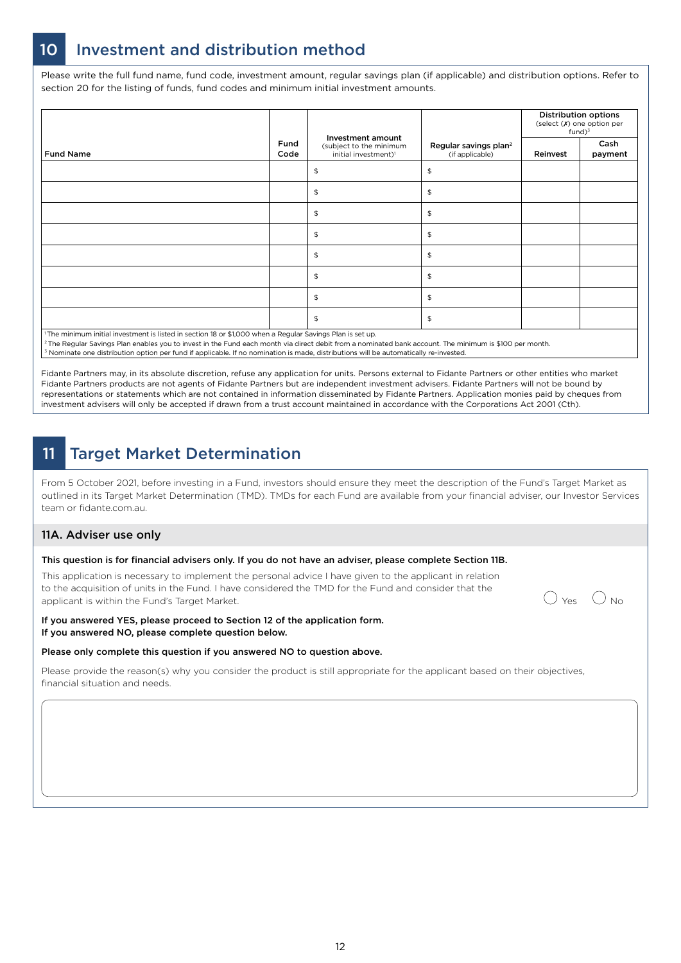# 10 Investment and distribution method

Please write the full fund name, fund code, investment amount, regular savings plan (if applicable) and distribution options. Refer to section 20 for the listing of funds, fund codes and minimum initial investment amounts.

|                                                                                                                       |                     | Investment amount                                           |                                                      |          | <b>Distribution options</b><br>(select $(X)$ one option per<br>$fund)^3$ |
|-----------------------------------------------------------------------------------------------------------------------|---------------------|-------------------------------------------------------------|------------------------------------------------------|----------|--------------------------------------------------------------------------|
| <b>Fund Name</b>                                                                                                      | <b>Fund</b><br>Code | (subject to the minimum<br>initial investment) <sup>1</sup> | Regular savings plan <sup>2</sup><br>(if applicable) | Reinvest | Cash<br>payment                                                          |
|                                                                                                                       |                     | \$                                                          | $\mathfrak{S}$                                       |          |                                                                          |
|                                                                                                                       |                     | $\,$                                                        | $\frac{1}{2}$                                        |          |                                                                          |
|                                                                                                                       |                     | $\,$                                                        | $\frac{1}{2}$                                        |          |                                                                          |
|                                                                                                                       |                     | $\,$                                                        | $\frac{1}{2}$                                        |          |                                                                          |
|                                                                                                                       |                     | $\,$                                                        | $\mathfrak{P}$                                       |          |                                                                          |
|                                                                                                                       |                     | $\,$                                                        | $\frac{1}{2}$                                        |          |                                                                          |
|                                                                                                                       |                     | $\,$                                                        | $\mathfrak{P}$                                       |          |                                                                          |
|                                                                                                                       |                     | $\,$                                                        | $\frac{1}{2}$                                        |          |                                                                          |
| <sup>1</sup> The minimum initial investment is listed in section 18 or \$1,000 when a Regular Savings Plan is set up. |                     |                                                             |                                                      |          |                                                                          |

1 The minimum initial investment is listed in section 18 or \$1,000 when a Regular Savings Plan is set up.

2 The Regular Savings Plan enables you to invest in the Fund each month via direct debit from a nominated bank account. The minimum is \$100 per month. 3 Nominate one distribution option per fund if applicable. If no nomination is made, distributions will be automatically re-invested.

Fidante Partners may, in its absolute discretion, refuse any application for units. Persons external to Fidante Partners or other entities who market Fidante Partners products are not agents of Fidante Partners but are independent investment advisers. Fidante Partners will not be bound by representations or statements which are not contained in information disseminated by Fidante Partners. Application monies paid by cheques from investment advisers will only be accepted if drawn from a trust account maintained in accordance with the Corporations Act 2001 (Cth).

# 11 Target Market Determination

From 5 October 2021, before investing in a Fund, investors should ensure they meet the description of the Fund's Target Market as outlined in its Target Market Determination (TMD). TMDs for each Fund are available from your financial adviser, our Investor Services team or fidante.com.au.

### 11A. Adviser use only

#### This question is for financial advisers only. If you do not have an adviser, please complete Section 11B.

This application is necessary to implement the personal advice I have given to the applicant in relation to the acquisition of units in the Fund. I have considered the TMD for the Fund and consider that the to the acquisition of units in the Fund. I have considered the TMD for the Fund and consider that the  $\bigcirc$  yes  $\bigcirc$  No

#### If you answered YES, please proceed to Section 12 of the application form. If you answered NO, please complete question below.

#### Please only complete this question if you answered NO to question above.

Please provide the reason(s) why you consider the product is still appropriate for the applicant based on their objectives, financial situation and needs.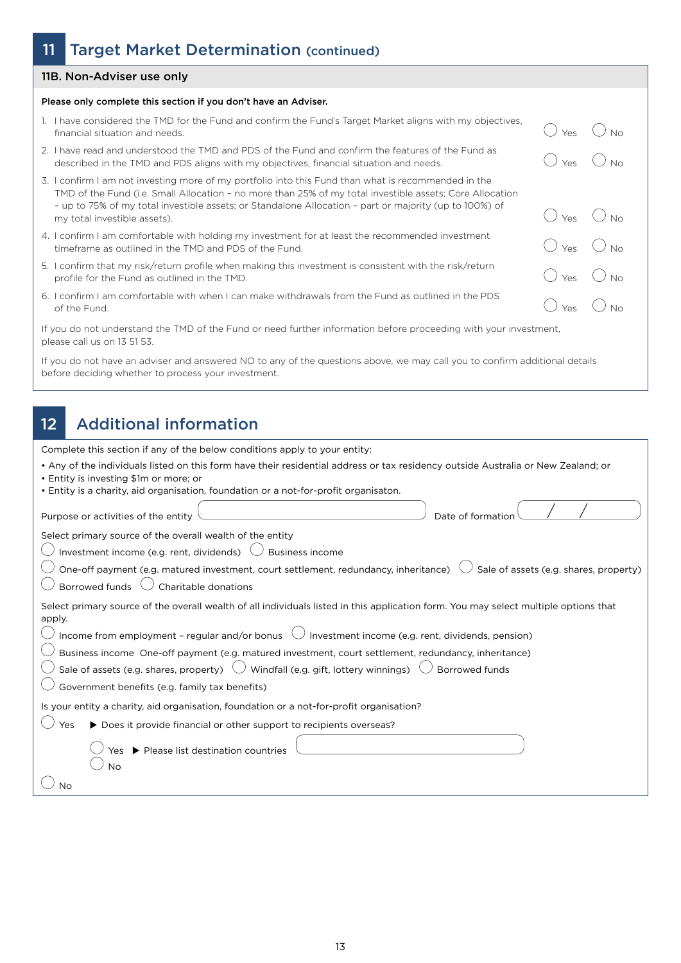### 11 Target Market Determination (continued)

### 11B. Non-Adviser use only

#### Please only complete this section if you don't have an Adviser.

- 1. I have considered the TMD for the Fund and confirm the Fund's Target Market aligns with my objectives, Financial situation and needs.  $\bigcirc$  No No.  $\bigcirc$  and and committed randomary calged named angles matrixly objectives,  $\bigcirc$  Yes  $\bigcirc$  No.
- 2. I have read and understood the TMD and PDS of the Fund and confirm the features of the Fund as I have read and understood the TMD and PDS of the Fund and confirm the features of the Fund as<br>described in the TMD and PDS aligns with my objectives, financial situation and needs.  $\bigcirc$  Yes  $\bigcirc$  No
- 3. I confirm I am not investing more of my portfolio into this Fund than what is recommended in the TMD of the Fund (i.e. Small Allocation – no more than 25% of my total investible assets; Core Allocation – up to 75% of my total investible assets; or Standalone Allocation – part or majority (up to 100%) of  $-$  up to 73% of my total investible assets, or standalone Allocation – part or majority (up to 100%) or  $\bigcirc$  Yes  $\bigcirc$  No No
- 4. I confirm I am comfortable with holding my investment for at least the recommended investment
- I confirm I am comfortable with holding my investment for at least the recommended investment<br>timeframe as outlined in the TMD and PDS of the Fund.<br>I confirm that my risk/return profile when making this investment is cons 5. I confirm that my risk/return profile when making this investment is consistent with the risk/return profile for the Fund as outlined in the TMD.
- 6. I confirm I am comfortable with when I can make withdrawals from the Fund as outlined in the PDS of the Fund.  $\hspace{.1cm}$   $\hspace{.1cm}$   $\hspace{.1cm}$   $\hspace{.1cm}$   $\hspace{.1cm}$   $\hspace{.1cm}$   $\hspace{.1cm}$   $\hspace{.1cm}$   $\hspace{.1cm}$   $\hspace{.1cm}$   $\hspace{.1cm}$   $\hspace{.1cm}$   $\hspace{.1cm}$   $\hspace{.1cm}$   $\hspace{.1cm}$   $\hspace{.1cm}$   $\hspace{.1cm}$   $\hspace{.1cm}$   $\hspace{.1cm}$

If you do not understand the TMD of the Fund or need further information before proceeding with your investment, please call us on 13 51 53.

If you do not have an adviser and answered NO to any of the questions above, we may call you to confirm additional details before deciding whether to process your investment.

### 12 Additional information

Complete this section if any of the below conditions apply to your entity:

| • Any of the individuals listed on this form have their residential address or tax residency outside Australia or New Zealand; or<br>от простояния в последний пример, последний пример, последний состоянии просто простоянии просто просто просто |  |
|-----------------------------------------------------------------------------------------------------------------------------------------------------------------------------------------------------------------------------------------------------|--|
|-----------------------------------------------------------------------------------------------------------------------------------------------------------------------------------------------------------------------------------------------------|--|

- Entity is investing \$1m or more; or
- Entity is a charity, aid organisation, foundation or a not-for-profit organisaton.

| Purpose or activities of the entity<br>Date of formation                                                                                       |
|------------------------------------------------------------------------------------------------------------------------------------------------|
| Select primary source of the overall wealth of the entity                                                                                      |
| Investment income (e.g. rent, dividends)<br><b>Business income</b>                                                                             |
| One-off payment (e.g. matured investment, court settlement, redundancy, inheritance)<br>$\theta$ Sale of assets (e.g. shares, property)        |
| Charitable donations<br>Borrowed funds                                                                                                         |
| Select primary source of the overall wealth of all individuals listed in this application form. You may select multiple options that<br>apply. |
| Income from employment - regular and/or bonus $\bigcirc$ Investment income (e.g. rent, dividends, pension)                                     |
| Business income One-off payment (e.g. matured investment, court settlement, redundancy, inheritance)                                           |
| Sale of assets (e.g. shares, property) $\cup$ Windfall (e.g. gift, lottery winnings)<br><b>Borrowed funds</b>                                  |
| Government benefits (e.g. family tax benefits)                                                                                                 |
| Is your entity a charity, aid organisation, foundation or a not-for-profit organisation?                                                       |
| ▶ Does it provide financial or other support to recipients overseas?<br>Yes                                                                    |
| ▶ Please list destination countries<br>Yes<br><b>No</b>                                                                                        |
| No                                                                                                                                             |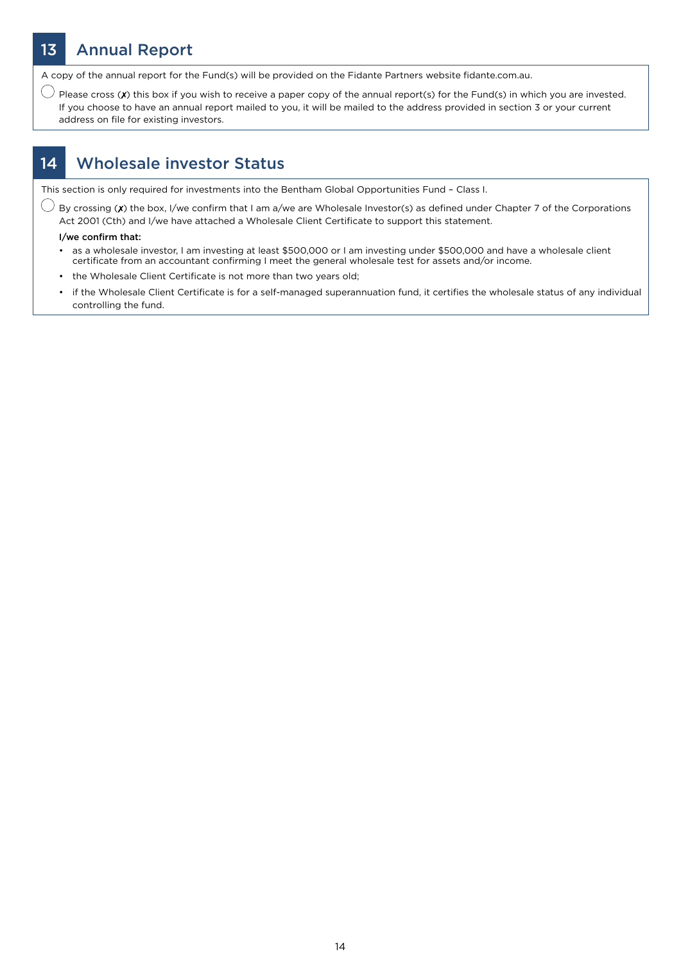# 13 Annual Report

A copy of the annual report for the Fund(s) will be provided on the Fidante Partners website fidante.com.au.

 $\bigcirc$  Please cross (X) this box if you wish to receive a paper copy of the annual report(s) for the Fund(s) in which you are invested. If you choose to have an annual report mailed to you, it will be mailed to the address provided in section 3 or your current address on file for existing investors.

### 14 Wholesale investor Status

This section is only required for investments into the Bentham Global Opportunities Fund – Class I.

 $\bigcirc$  By crossing (X) the box, I/we confirm that I am a/we are Wholesale Investor(s) as defined under Chapter 7 of the Corporations Act 2001 (Cth) and I/we have attached a Wholesale Client Certificate to support this statement.

#### I/we confirm that:

- as a wholesale investor, I am investing at least \$500,000 or I am investing under \$500,000 and have a wholesale client certificate from an accountant confirming I meet the general wholesale test for assets and/or income.
- the Wholesale Client Certificate is not more than two years old;
- if the Wholesale Client Certificate is for a self-managed superannuation fund, it certifies the wholesale status of any individual controlling the fund.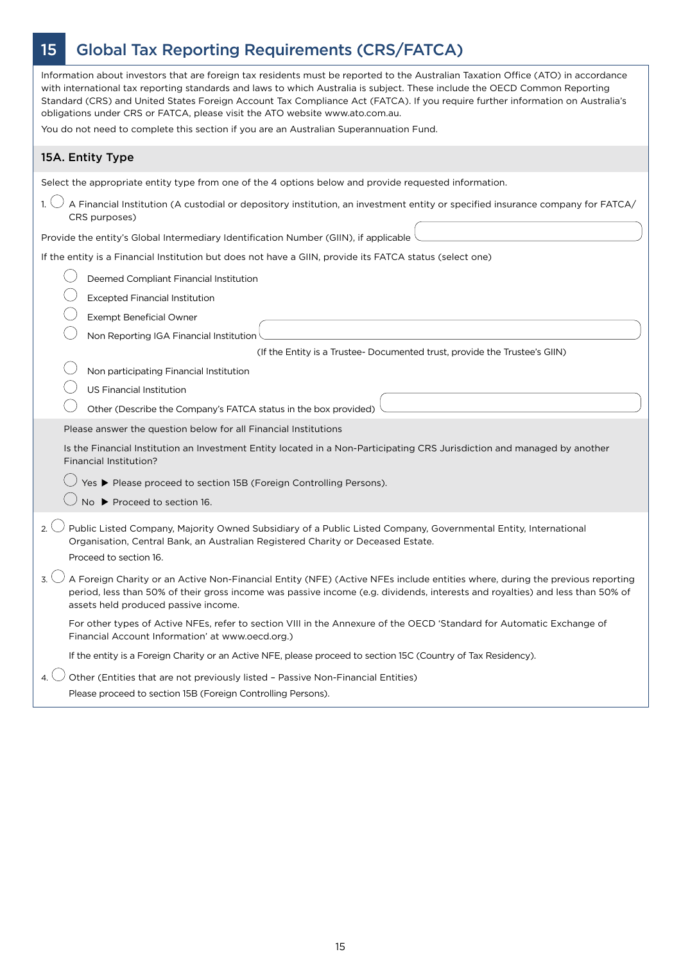# 15 Global Tax Reporting Requirements (CRS/FATCA)

| Information about investors that are foreign tax residents must be reported to the Australian Taxation Office (ATO) in accordance<br>with international tax reporting standards and laws to which Australia is subject. These include the OECD Common Reporting<br>Standard (CRS) and United States Foreign Account Tax Compliance Act (FATCA). If you require further information on Australia's<br>obligations under CRS or FATCA, please visit the ATO website www.ato.com.au.<br>You do not need to complete this section if you are an Australian Superannuation Fund. |
|-----------------------------------------------------------------------------------------------------------------------------------------------------------------------------------------------------------------------------------------------------------------------------------------------------------------------------------------------------------------------------------------------------------------------------------------------------------------------------------------------------------------------------------------------------------------------------|
| 15A. Entity Type                                                                                                                                                                                                                                                                                                                                                                                                                                                                                                                                                            |
| Select the appropriate entity type from one of the 4 options below and provide requested information.                                                                                                                                                                                                                                                                                                                                                                                                                                                                       |
| A Financial Institution (A custodial or depository institution, an investment entity or specified insurance company for FATCA/<br>CRS purposes)                                                                                                                                                                                                                                                                                                                                                                                                                             |
| Provide the entity's Global Intermediary Identification Number (GIIN), if applicable                                                                                                                                                                                                                                                                                                                                                                                                                                                                                        |
| If the entity is a Financial Institution but does not have a GIIN, provide its FATCA status (select one)                                                                                                                                                                                                                                                                                                                                                                                                                                                                    |
| Deemed Compliant Financial Institution                                                                                                                                                                                                                                                                                                                                                                                                                                                                                                                                      |
| <b>Excepted Financial Institution</b>                                                                                                                                                                                                                                                                                                                                                                                                                                                                                                                                       |
| <b>Exempt Beneficial Owner</b>                                                                                                                                                                                                                                                                                                                                                                                                                                                                                                                                              |
| Non Reporting IGA Financial Institution                                                                                                                                                                                                                                                                                                                                                                                                                                                                                                                                     |
| (If the Entity is a Trustee- Documented trust, provide the Trustee's GIIN)                                                                                                                                                                                                                                                                                                                                                                                                                                                                                                  |
| Non participating Financial Institution                                                                                                                                                                                                                                                                                                                                                                                                                                                                                                                                     |
| <b>US Financial Institution</b>                                                                                                                                                                                                                                                                                                                                                                                                                                                                                                                                             |
| Other (Describe the Company's FATCA status in the box provided)                                                                                                                                                                                                                                                                                                                                                                                                                                                                                                             |
| Please answer the question below for all Financial Institutions                                                                                                                                                                                                                                                                                                                                                                                                                                                                                                             |
| Is the Financial Institution an Investment Entity located in a Non-Participating CRS Jurisdiction and managed by another<br>Financial Institution?                                                                                                                                                                                                                                                                                                                                                                                                                          |
| Yes ▶ Please proceed to section 15B (Foreign Controlling Persons).                                                                                                                                                                                                                                                                                                                                                                                                                                                                                                          |
| No ▶ Proceed to section 16.                                                                                                                                                                                                                                                                                                                                                                                                                                                                                                                                                 |
| Public Listed Company, Majority Owned Subsidiary of a Public Listed Company, Governmental Entity, International<br>$2 \angle$<br>Organisation, Central Bank, an Australian Registered Charity or Deceased Estate.<br>Proceed to section 16.                                                                                                                                                                                                                                                                                                                                 |
| $3.$ A Foreign Charity or an Active Non-Financial Entity (NFE) (Active NFEs include entities where, during the previous reporting<br>period, less than 50% of their gross income was passive income (e.g. dividends, interests and royalties) and less than 50% of<br>assets held produced passive income.                                                                                                                                                                                                                                                                  |
| For other types of Active NFEs, refer to section VIII in the Annexure of the OECD 'Standard for Automatic Exchange of<br>Financial Account Information' at www.oecd.org.)                                                                                                                                                                                                                                                                                                                                                                                                   |
| If the entity is a Foreign Charity or an Active NFE, please proceed to section 15C (Country of Tax Residency).                                                                                                                                                                                                                                                                                                                                                                                                                                                              |
| Other (Entities that are not previously listed - Passive Non-Financial Entities)<br>$\mathbf{4}$ .<br>Please proceed to section 15B (Foreign Controlling Persons).                                                                                                                                                                                                                                                                                                                                                                                                          |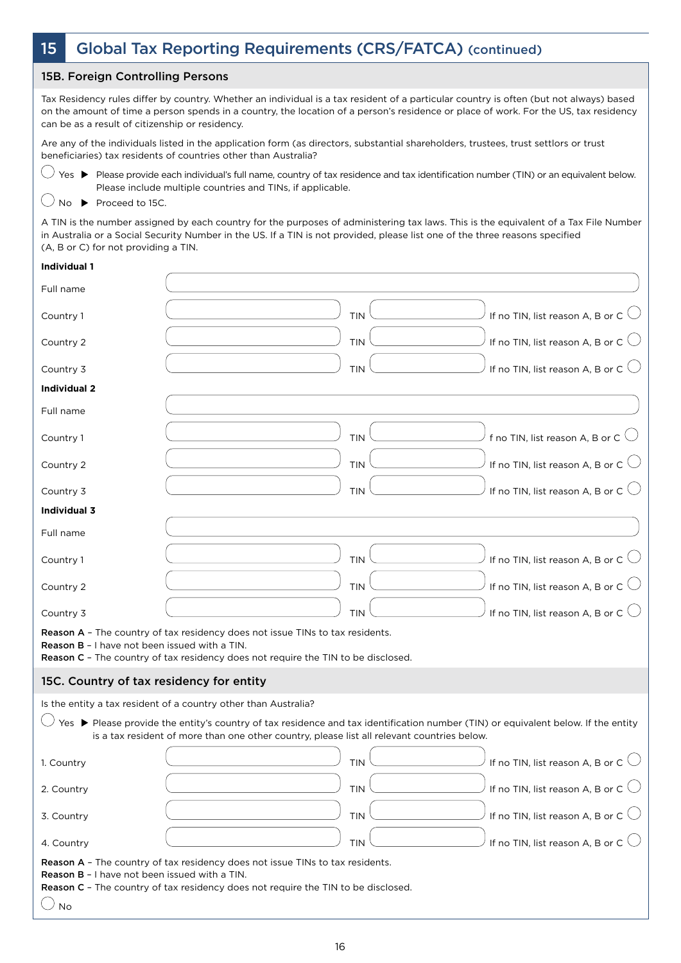### 15 Global Tax Reporting Requirements (CRS/FATCA) (continued)

### 15B. Foreign Controlling Persons

Tax Residency rules differ by country. Whether an individual is a tax resident of a particular country is often (but not always) based on the amount of time a person spends in a country, the location of a person's residence or place of work. For the US, tax residency can be as a result of citizenship or residency.

Are any of the individuals listed in the application form (as directors, substantial shareholders, trustees, trust settlors or trust beneficiaries) tax residents of countries other than Australia?

 $\bigcirc$  Yes  $\blacktriangleright$  Please provide each individual's full name, country of tax residence and tax identification number (TIN) or an equivalent below. Please include multiple countries and TINs, if applicable.

 $\bigcirc$  No  $\blacktriangleright$  Proceed to 15C.

A TIN is the number assigned by each country for the purposes of administering tax laws. This is the equivalent of a Tax File Number in Australia or a Social Security Number in the US. If a TIN is not provided, please list one of the three reasons specified (A, B or C) for not providing a TIN.

#### **Individual 1**

| Full name                                                         |                                                                                                                                                                                                                                  |  |
|-------------------------------------------------------------------|----------------------------------------------------------------------------------------------------------------------------------------------------------------------------------------------------------------------------------|--|
| Country 1                                                         | If no TIN, list reason A, B or C $\bigcirc$<br><b>TIN</b>                                                                                                                                                                        |  |
| Country 2                                                         | If no TIN, list reason A, B or C $\bigcirc$<br><b>TIN</b>                                                                                                                                                                        |  |
| Country 3                                                         | If no TIN, list reason A, B or C $\bigcirc$<br><b>TIN</b>                                                                                                                                                                        |  |
| <b>Individual 2</b>                                               |                                                                                                                                                                                                                                  |  |
| Full name                                                         |                                                                                                                                                                                                                                  |  |
| Country 1                                                         | f no TIN, list reason A, B or C $\bigcirc$<br><b>TIN</b>                                                                                                                                                                         |  |
| Country 2                                                         | If no TIN, list reason A, B or C $\bigcirc$<br><b>TIN</b>                                                                                                                                                                        |  |
| Country 3                                                         | If no TIN, list reason A, B or C $\bigcirc$<br><b>TIN</b>                                                                                                                                                                        |  |
| <b>Individual 3</b>                                               |                                                                                                                                                                                                                                  |  |
| Full name                                                         |                                                                                                                                                                                                                                  |  |
| Country 1                                                         | If no TIN, list reason A, B or C $\bigcirc$<br><b>TIN</b>                                                                                                                                                                        |  |
| Country 2                                                         | If no TIN, list reason A, B or C $\bigcirc$<br><b>TIN</b>                                                                                                                                                                        |  |
| Country 3                                                         | If no TIN, list reason A, B or C $\bigcirc$<br><b>TIN</b>                                                                                                                                                                        |  |
| <b>Reason B</b> - I have not been issued with a TIN.              | Reason A - The country of tax residency does not issue TINs to tax residents.<br>Reason C - The country of tax residency does not require the TIN to be disclosed.                                                               |  |
| 15C. Country of tax residency for entity                          |                                                                                                                                                                                                                                  |  |
|                                                                   | Is the entity a tax resident of a country other than Australia?                                                                                                                                                                  |  |
|                                                                   | Yes ▶ Please provide the entity's country of tax residence and tax identification number (TIN) or equivalent below. If the entity<br>is a tax resident of more than one other country, please list all relevant countries below. |  |
| 1. Country                                                        | If no TIN, list reason A, B or C $\bigcirc$<br>TIN                                                                                                                                                                               |  |
| 2. Country                                                        | If no TIN. list reason A. B or C<br><b>TIN</b>                                                                                                                                                                                   |  |
| 3. Country                                                        | If no TIN, list reason A, B or C $\bigcirc$<br><b>TIN</b>                                                                                                                                                                        |  |
| 4. Country                                                        | If no TIN, list reason A, B or C $\bigcirc$<br><b>TIN</b>                                                                                                                                                                        |  |
| <b>Reason B - I have not been issued with a TIN.</b><br><b>No</b> | Reason A - The country of tax residency does not issue TINs to tax residents.<br><b>Reason C</b> - The country of tax residency does not require the TIN to be disclosed.                                                        |  |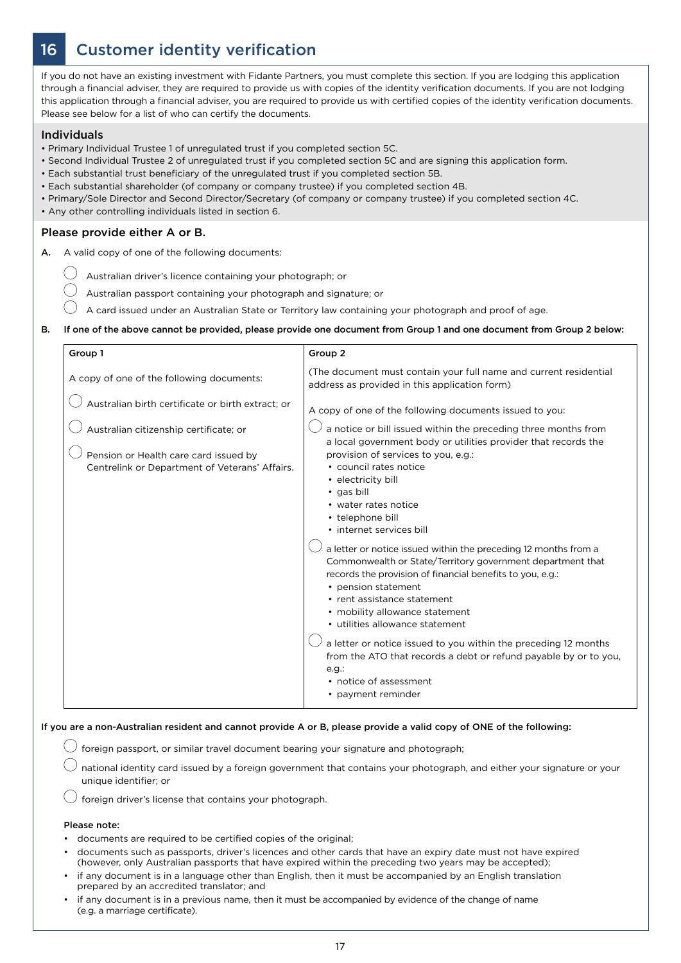# 16 Customer identity verification

If you do not have an existing investment with Fidante Partners, you must complete this section. If you are lodging this application through a financial adviser, they are required to provide us with copies of the identity verification documents. If you are not lodging this application through a financial adviser, you are required to provide us with certified copies of the identity verification documents. Please see below for a list of who can certify the documents.

### Individuals

 $(\ )$ 

- Primary Individual Trustee 1 of unregulated trust if you completed section 5C.
- Second Individual Trustee 2 of unregulated trust if you completed section 5C and are signing this application form.
- Each substantial trust beneficiary of the unregulated trust if you completed section 5B.
- Each substantial shareholder (of company or company trustee) if you completed section 4B.
- Primary/Sole Director and Second Director/Secretary (of company or company trustee) if you completed section 4C.
- Any other controlling individuals listed in section 6.

### Please provide either A or B.

- A. A valid copy of one of the following documents:
	- Australian driver's licence containing your photograph; or
	- Australian passport containing your photograph and signature; or
	- A card issued under an Australian State or Territory law containing your photograph and proof of age.
- B. If one of the above cannot be provided, please provide one document from Group 1 and one document from Group 2 below:

| Group 1                                                                                                                                                                                | Group <sub>2</sub>                                                                                                                                                                                                                                                                                                                                                                                                                                                                                                                                                                                                                                                                                                                                                                                                                                                         |
|----------------------------------------------------------------------------------------------------------------------------------------------------------------------------------------|----------------------------------------------------------------------------------------------------------------------------------------------------------------------------------------------------------------------------------------------------------------------------------------------------------------------------------------------------------------------------------------------------------------------------------------------------------------------------------------------------------------------------------------------------------------------------------------------------------------------------------------------------------------------------------------------------------------------------------------------------------------------------------------------------------------------------------------------------------------------------|
| A copy of one of the following documents:                                                                                                                                              | (The document must contain your full name and current residential<br>address as provided in this application form)                                                                                                                                                                                                                                                                                                                                                                                                                                                                                                                                                                                                                                                                                                                                                         |
| Australian birth certificate or birth extract; or<br>Australian citizenship certificate; or<br>Pension or Health care card issued by<br>Centrelink or Department of Veterans' Affairs. | A copy of one of the following documents issued to you:<br>a notice or bill issued within the preceding three months from<br>a local government body or utilities provider that records the<br>provision of services to you, e.g.:<br>• council rates notice<br>• electricity bill<br>• gas bill<br>• water rates notice<br>• telephone bill<br>• internet services bill<br>a letter or notice issued within the preceding 12 months from a<br>Commonwealth or State/Territory government department that<br>records the provision of financial benefits to you, e.g.:<br>• pension statement<br>• rent assistance statement<br>• mobility allowance statement<br>• utilities allowance statement<br>a letter or notice issued to you within the preceding 12 months<br>from the ATO that records a debt or refund payable by or to you,<br>e.g.<br>• notice of assessment |
|                                                                                                                                                                                        | • payment reminder                                                                                                                                                                                                                                                                                                                                                                                                                                                                                                                                                                                                                                                                                                                                                                                                                                                         |

#### If you are a non-Australian resident and cannot provide A or B, please provide a valid copy of ONE of the following:

 $\bigcup$  foreign passport, or similar travel document bearing your signature and photograph;

national identity card issued by a foreign government that contains your photograph, and either your signature or your unique identifier; or

 $\bigcup$  foreign driver's license that contains your photograph.

#### Please note:

- documents are required to be certified copies of the original;
- documents such as passports, driver's licences and other cards that have an expiry date must not have expired (however, only Australian passports that have expired within the preceding two years may be accepted);
- if any document is in a language other than English, then it must be accompanied by an English translation prepared by an accredited translator; and
- if any document is in a previous name, then it must be accompanied by evidence of the change of name (e.g. a marriage certificate).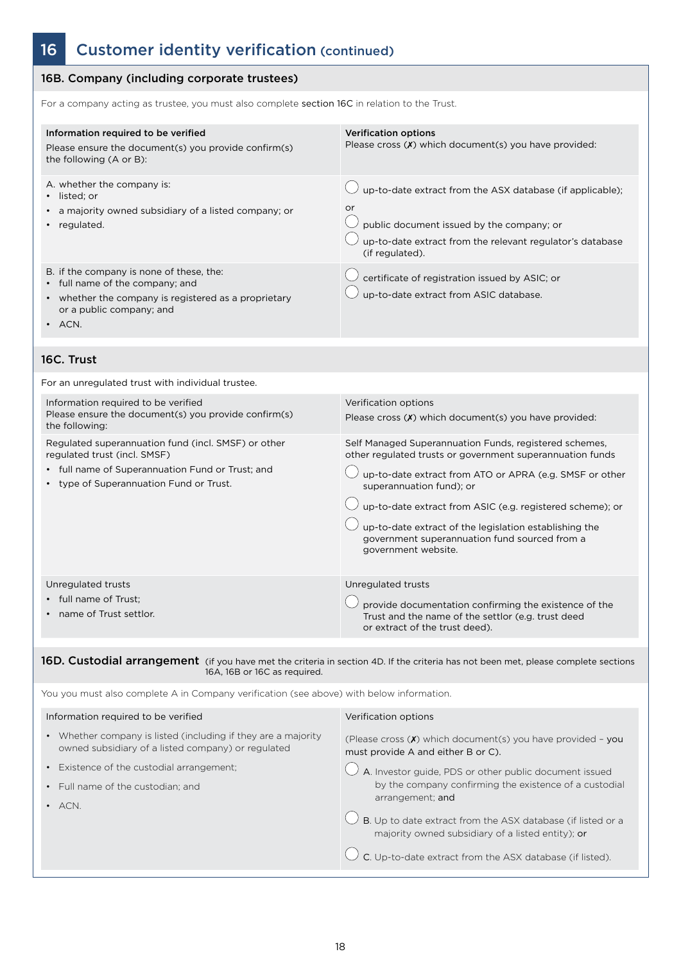# 16 Customer identity verification (continued)

| 16B. Company (including corporate trustees)                                                                                                                                                                                           |                                                                                                                                                                                                                                                                                                                                                                                                                           |
|---------------------------------------------------------------------------------------------------------------------------------------------------------------------------------------------------------------------------------------|---------------------------------------------------------------------------------------------------------------------------------------------------------------------------------------------------------------------------------------------------------------------------------------------------------------------------------------------------------------------------------------------------------------------------|
| For a company acting as trustee, you must also complete section 16C in relation to the Trust.                                                                                                                                         |                                                                                                                                                                                                                                                                                                                                                                                                                           |
| Information required to be verified<br>Please ensure the document(s) you provide confirm(s)<br>the following (A or B):                                                                                                                | <b>Verification options</b><br>Please cross (X) which document(s) you have provided:                                                                                                                                                                                                                                                                                                                                      |
| A. whether the company is:<br>listed; or<br>a majority owned subsidiary of a listed company; or<br>regulated.                                                                                                                         | up-to-date extract from the ASX database (if applicable);<br>or<br>public document issued by the company; or<br>up-to-date extract from the relevant regulator's database<br>(if regulated).                                                                                                                                                                                                                              |
| B. if the company is none of these, the:<br>• full name of the company; and<br>whether the company is registered as a proprietary<br>or a public company; and<br>ACN.                                                                 | certificate of registration issued by ASIC; or<br>up-to-date extract from ASIC database.                                                                                                                                                                                                                                                                                                                                  |
| 16C. Trust                                                                                                                                                                                                                            |                                                                                                                                                                                                                                                                                                                                                                                                                           |
| For an unregulated trust with individual trustee.                                                                                                                                                                                     |                                                                                                                                                                                                                                                                                                                                                                                                                           |
| Information required to be verified<br>Please ensure the document(s) you provide confirm(s)<br>the following:                                                                                                                         | Verification options<br>Please cross (X) which document(s) you have provided:                                                                                                                                                                                                                                                                                                                                             |
| Regulated superannuation fund (incl. SMSF) or other<br>regulated trust (incl. SMSF)<br>full name of Superannuation Fund or Trust; and<br>type of Superannuation Fund or Trust.                                                        | Self Managed Superannuation Funds, registered schemes,<br>other regulated trusts or government superannuation funds<br>up-to-date extract from ATO or APRA (e.g. SMSF or other<br>superannuation fund); or<br>up-to-date extract from ASIC (e.g. registered scheme); or<br>up-to-date extract of the legislation establishing the<br>government superannuation fund sourced from a<br>government website.                 |
| Unregulated trusts<br>full name of Trust;<br>name of Trust settlor.                                                                                                                                                                   | Unregulated trusts<br>provide documentation confirming the existence of the<br>Trust and the name of the settlor (e.g. trust deed<br>or extract of the trust deed).                                                                                                                                                                                                                                                       |
| 16D. Custodial arrangement (if you have met the criteria in section 4D. If the criteria has not been met, please complete sections<br>16A, 16B or 16C as required.                                                                    |                                                                                                                                                                                                                                                                                                                                                                                                                           |
| You you must also complete A in Company verification (see above) with below information.                                                                                                                                              |                                                                                                                                                                                                                                                                                                                                                                                                                           |
| Information required to be verified                                                                                                                                                                                                   | Verification options                                                                                                                                                                                                                                                                                                                                                                                                      |
| • Whether company is listed (including if they are a majority<br>owned subsidiary of a listed company) or regulated<br>Existence of the custodial arrangement;<br>$\bullet$<br>Full name of the custodian; and<br>$\bullet$<br>· ACN. | (Please cross (X) which document(s) you have provided - you<br>must provide A and either B or C).<br>A. Investor guide, PDS or other public document issued<br>by the company confirming the existence of a custodial<br>arrangement; and<br>B. Up to date extract from the ASX database (if listed or a<br>majority owned subsidiary of a listed entity); or<br>C. Up-to-date extract from the ASX database (if listed). |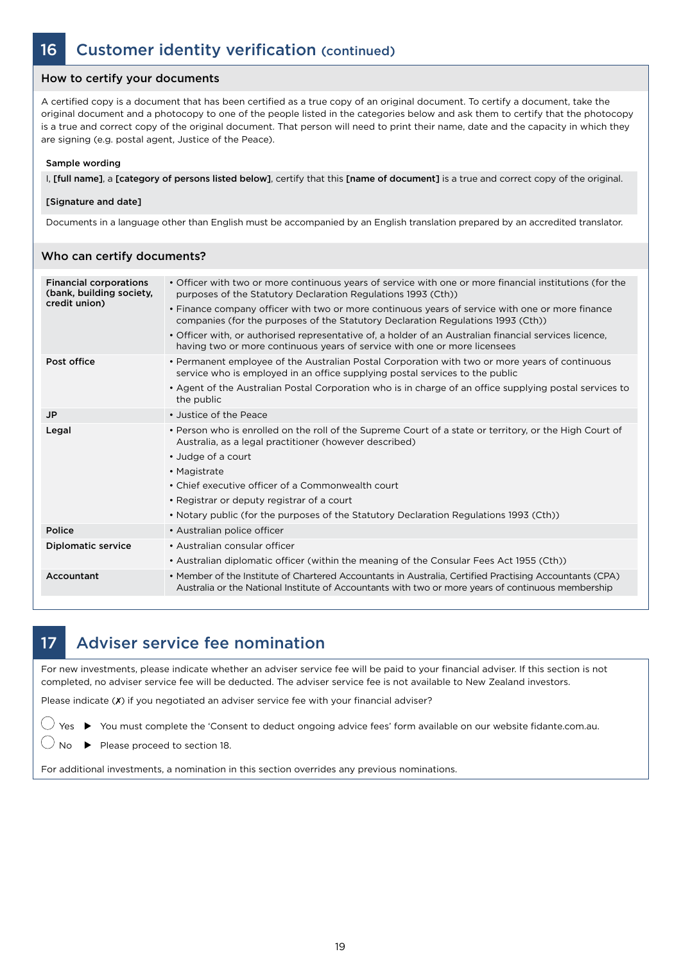### How to certify your documents

A certified copy is a document that has been certified as a true copy of an original document. To certify a document, take the original document and a photocopy to one of the people listed in the categories below and ask them to certify that the photocopy is a true and correct copy of the original document. That person will need to print their name, date and the capacity in which they are signing (e.g. postal agent, Justice of the Peace).

#### Sample wording

I, [full name], a [category of persons listed below], certify that this [name of document] is a true and correct copy of the original.

#### [Signature and date]

Who can cortify documents?

Documents in a language other than English must be accompanied by an English translation prepared by an accredited translator.

| <u>VVIIO CAII CEITIIV QOCUIIIEIITS:</u>                                    |                                                                                                                                                                                                                                                                                                                                                                                                                                                                                                                                                        |
|----------------------------------------------------------------------------|--------------------------------------------------------------------------------------------------------------------------------------------------------------------------------------------------------------------------------------------------------------------------------------------------------------------------------------------------------------------------------------------------------------------------------------------------------------------------------------------------------------------------------------------------------|
| <b>Financial corporations</b><br>(bank, building society,<br>credit union) | • Officer with two or more continuous years of service with one or more financial institutions (for the<br>purposes of the Statutory Declaration Regulations 1993 (Cth))<br>• Finance company officer with two or more continuous years of service with one or more finance<br>companies (for the purposes of the Statutory Declaration Regulations 1993 (Cth))<br>• Officer with, or authorised representative of, a holder of an Australian financial services licence,<br>having two or more continuous years of service with one or more licensees |
| Post office                                                                | • Permanent employee of the Australian Postal Corporation with two or more years of continuous<br>service who is employed in an office supplying postal services to the public<br>• Agent of the Australian Postal Corporation who is in charge of an office supplying postal services to<br>the public                                                                                                                                                                                                                                                |
| <b>JP</b>                                                                  | • Justice of the Peace                                                                                                                                                                                                                                                                                                                                                                                                                                                                                                                                 |
| Legal                                                                      | • Person who is enrolled on the roll of the Supreme Court of a state or territory, or the High Court of<br>Australia, as a legal practitioner (however described)<br>• Judge of a court<br>• Magistrate<br>• Chief executive officer of a Commonwealth court<br>• Registrar or deputy registrar of a court<br>• Notary public (for the purposes of the Statutory Declaration Regulations 1993 (Cth))                                                                                                                                                   |
| Police                                                                     | • Australian police officer                                                                                                                                                                                                                                                                                                                                                                                                                                                                                                                            |
| <b>Diplomatic service</b>                                                  | • Australian consular officer<br>• Australian diplomatic officer (within the meaning of the Consular Fees Act 1955 (Cth))                                                                                                                                                                                                                                                                                                                                                                                                                              |
| Accountant                                                                 | • Member of the Institute of Chartered Accountants in Australia, Certified Practising Accountants (CPA)<br>Australia or the National Institute of Accountants with two or more years of continuous membership                                                                                                                                                                                                                                                                                                                                          |
|                                                                            |                                                                                                                                                                                                                                                                                                                                                                                                                                                                                                                                                        |

### 17 Adviser service fee nomination

For new investments, please indicate whether an adviser service fee will be paid to your financial adviser. If this section is not completed, no adviser service fee will be deducted. The adviser service fee is not available to New Zealand investors.

Please indicate (X) if you negotiated an adviser service fee with your financial adviser?

 $\bigcirc$  Yes  $\blacktriangleright$  You must complete the 'Consent to deduct ongoing advice fees' form available on our website fidante.com.au.

 $\bigcirc$  No  $\triangleright$  Please proceed to section 18.

For additional investments, a nomination in this section overrides any previous nominations.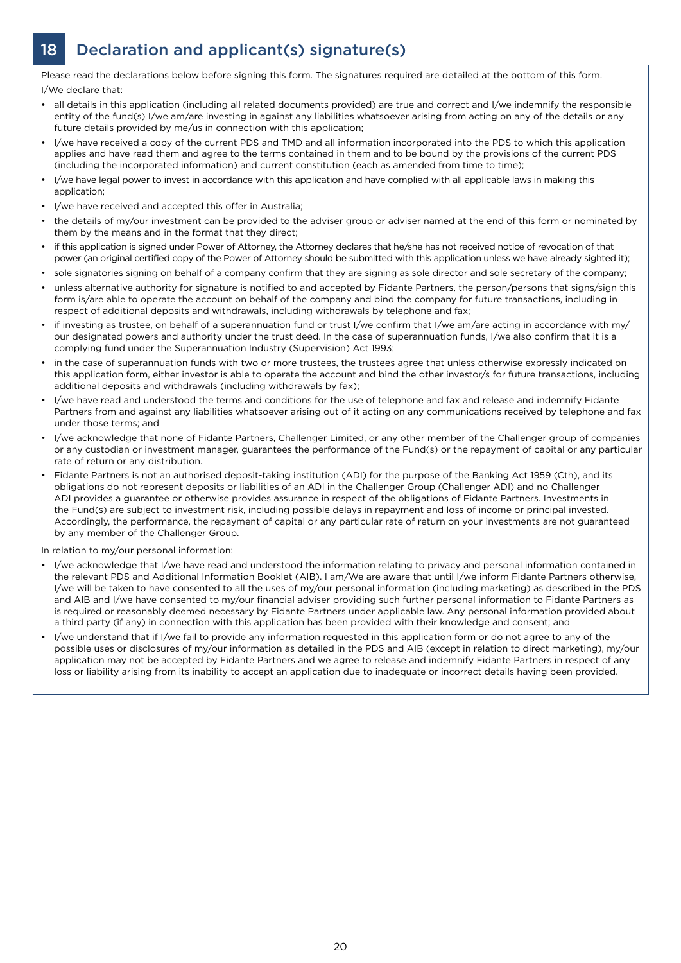# 18 Declaration and applicant(s) signature(s)

Please read the declarations below before signing this form. The signatures required are detailed at the bottom of this form. I/We declare that:

- all details in this application (including all related documents provided) are true and correct and I/we indemnify the responsible entity of the fund(s) I/we am/are investing in against any liabilities whatsoever arising from acting on any of the details or any future details provided by me/us in connection with this application;
- I/we have received a copy of the current PDS and TMD and all information incorporated into the PDS to which this application applies and have read them and agree to the terms contained in them and to be bound by the provisions of the current PDS (including the incorporated information) and current constitution (each as amended from time to time);
- I/we have legal power to invest in accordance with this application and have complied with all applicable laws in making this application;
- I/we have received and accepted this offer in Australia;
- the details of my/our investment can be provided to the adviser group or adviser named at the end of this form or nominated by them by the means and in the format that they direct;
- if this application is signed under Power of Attorney, the Attorney declares that he/she has not received notice of revocation of that power (an original certified copy of the Power of Attorney should be submitted with this application unless we have already sighted it);
- sole signatories signing on behalf of a company confirm that they are signing as sole director and sole secretary of the company;
- unless alternative authority for signature is notified to and accepted by Fidante Partners, the person/persons that signs/sign this form is/are able to operate the account on behalf of the company and bind the company for future transactions, including in respect of additional deposits and withdrawals, including withdrawals by telephone and fax;
- if investing as trustee, on behalf of a superannuation fund or trust I/we confirm that I/we am/are acting in accordance with my/ our designated powers and authority under the trust deed. In the case of superannuation funds, I/we also confirm that it is a complying fund under the Superannuation Industry (Supervision) Act 1993;
- in the case of superannuation funds with two or more trustees, the trustees agree that unless otherwise expressly indicated on this application form, either investor is able to operate the account and bind the other investor/s for future transactions, including additional deposits and withdrawals (including withdrawals by fax);
- I/we have read and understood the terms and conditions for the use of telephone and fax and release and indemnify Fidante Partners from and against any liabilities whatsoever arising out of it acting on any communications received by telephone and fax under those terms; and
- I/we acknowledge that none of Fidante Partners, Challenger Limited, or any other member of the Challenger group of companies or any custodian or investment manager, guarantees the performance of the Fund(s) or the repayment of capital or any particular rate of return or any distribution.
- Fidante Partners is not an authorised deposit-taking institution (ADI) for the purpose of the Banking Act 1959 (Cth), and its obligations do not represent deposits or liabilities of an ADI in the Challenger Group (Challenger ADI) and no Challenger ADI provides a guarantee or otherwise provides assurance in respect of the obligations of Fidante Partners. Investments in the Fund(s) are subject to investment risk, including possible delays in repayment and loss of income or principal invested. Accordingly, the performance, the repayment of capital or any particular rate of return on your investments are not guaranteed by any member of the Challenger Group.

In relation to my/our personal information:

- I/we acknowledge that I/we have read and understood the information relating to privacy and personal information contained in the relevant PDS and Additional Information Booklet (AIB). I am/We are aware that until I/we inform Fidante Partners otherwise, I/we will be taken to have consented to all the uses of my/our personal information (including marketing) as described in the PDS and AIB and I/we have consented to my/our financial adviser providing such further personal information to Fidante Partners as is required or reasonably deemed necessary by Fidante Partners under applicable law. Any personal information provided about a third party (if any) in connection with this application has been provided with their knowledge and consent; and
- I/we understand that if I/we fail to provide any information requested in this application form or do not agree to any of the possible uses or disclosures of my/our information as detailed in the PDS and AIB (except in relation to direct marketing), my/our application may not be accepted by Fidante Partners and we agree to release and indemnify Fidante Partners in respect of any loss or liability arising from its inability to accept an application due to inadequate or incorrect details having been provided.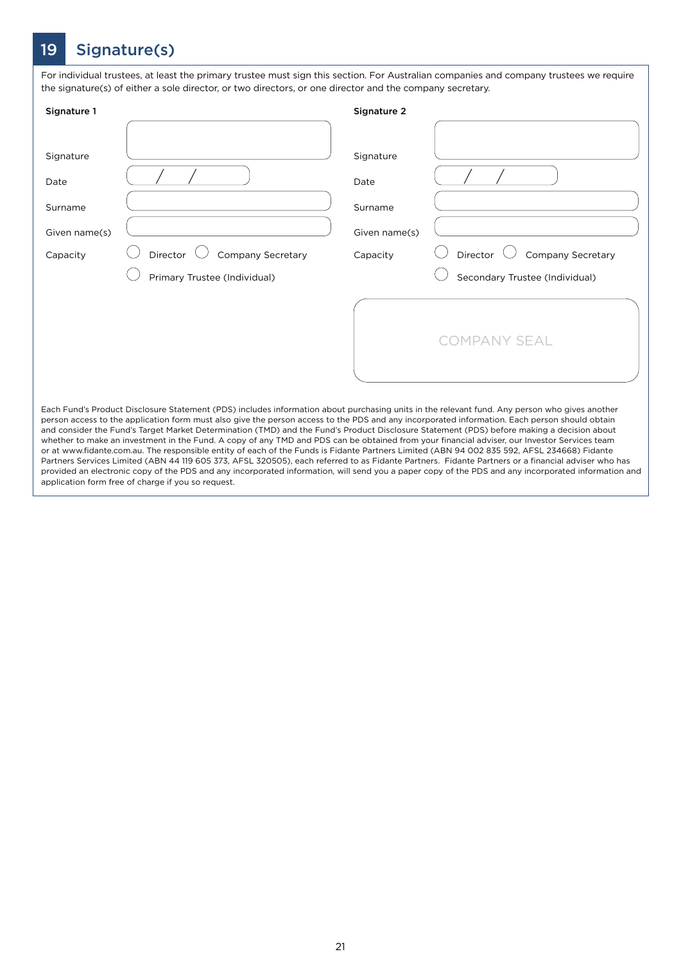# 19 Signature(s)

For individual trustees, at least the primary trustee must sign this section. For Australian companies and company trustees we require the signature(s) of either a sole director, or two directors, or one director and the company secretary.

| Signature 1                                               |                                                                                                                                                                                                                                                                                                                                                                                                                                                                                                                                                                                                                                                                                                                                                                                                                                                                                                 | Signature 2                                               |                                                                        |
|-----------------------------------------------------------|-------------------------------------------------------------------------------------------------------------------------------------------------------------------------------------------------------------------------------------------------------------------------------------------------------------------------------------------------------------------------------------------------------------------------------------------------------------------------------------------------------------------------------------------------------------------------------------------------------------------------------------------------------------------------------------------------------------------------------------------------------------------------------------------------------------------------------------------------------------------------------------------------|-----------------------------------------------------------|------------------------------------------------------------------------|
| Signature<br>Date<br>Surname<br>Given name(s)<br>Capacity | Director <sup>(</sup><br>Company Secretary<br>Primary Trustee (Individual)                                                                                                                                                                                                                                                                                                                                                                                                                                                                                                                                                                                                                                                                                                                                                                                                                      | Signature<br>Date<br>Surname<br>Given name(s)<br>Capacity | Director $\cup$<br>Company Secretary<br>Secondary Trustee (Individual) |
|                                                           | Each Fund's Product Disclosure Statement (PDS) includes information about purchasing units in the relevant fund. Any person who gives another<br>person access to the application form must also give the person access to the PDS and any incorporated information. Each person should obtain<br>and consider the Fund's Target Market Determination (TMD) and the Fund's Product Disclosure Statement (PDS) before making a decision about<br>whether to make an investment in the Fund. A copy of any TMD and PDS can be obtained from your financial adviser, our Investor Services team<br>or at www.fidante.com.au. The responsible entity of each of the Funds is Fidante Partners Limited (ABN 94 002 835 592, AFSL 234668) Fidante<br>Dartners Services Limited (ARN 44 119 605 373 AESL 320505) each referred to as Eidante Dartners. Eidante Dartners or a financial adviser who has |                                                           | <b>COMPANY SEAL</b>                                                    |

Partners Services Limited (ABN 44 119 605 373, AFSL 320505), each referred to as Fidante Partners. Fidante Partners or a financial adviser who has provided an electronic copy of the PDS and any incorporated information, will send you a paper copy of the PDS and any incorporated information and application form free of charge if you so request.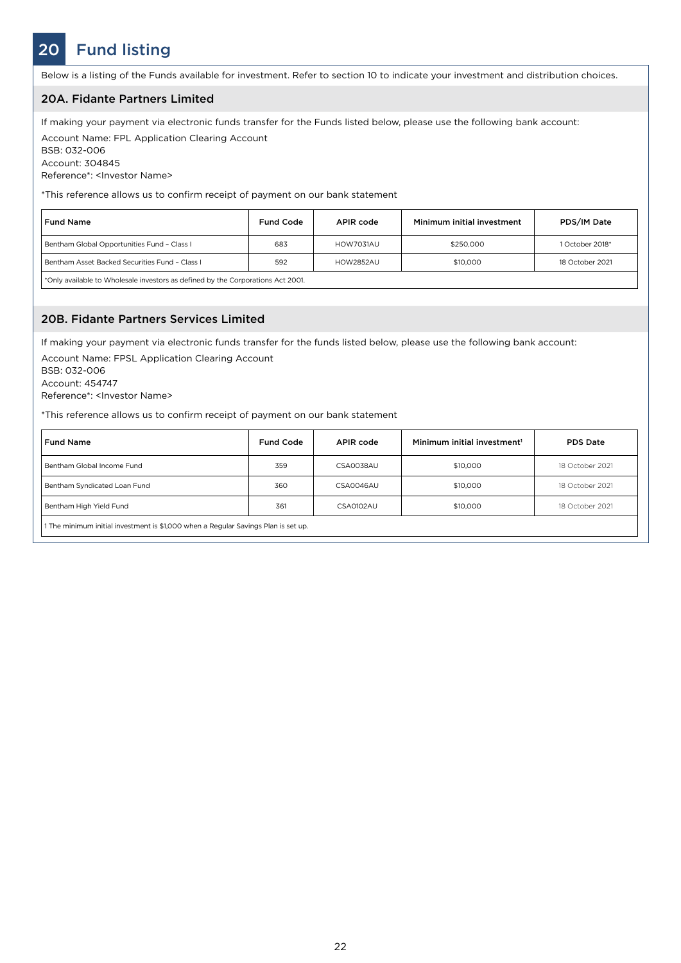# 20 Fund listing

Below is a listing of the Funds available for investment. Refer to section 10 to indicate your investment and distribution choices.

### 20A. Fidante Partners Limited

If making your payment via electronic funds transfer for the Funds listed below, please use the following bank account:

Account Name: FPL Application Clearing Account BSB: 032-006 Account: 304845

Reference\*: <Investor Name>

\*This reference allows us to confirm receipt of payment on our bank statement

| <b>Fund Name</b>                                                                | <b>Fund Code</b> | APIR code | Minimum initial investment | PDS/IM Date     |  |
|---------------------------------------------------------------------------------|------------------|-----------|----------------------------|-----------------|--|
| Bentham Global Opportunities Fund - Class I                                     | 683              | HOW7031AU | \$250,000                  | 1 October 2018* |  |
| Bentham Asset Backed Securities Fund - Class L                                  | 592              | HOW2852AU | \$10,000                   | 18 October 2021 |  |
| *Only available to Wholesale investors as defined by the Corporations Act 2001. |                  |           |                            |                 |  |

### 20B. Fidante Partners Services Limited

If making your payment via electronic funds transfer for the funds listed below, please use the following bank account:

Account Name: FPSL Application Clearing Account BSB: 032-006

Account: 454747

Reference\*: <Investor Name>

\*This reference allows us to confirm receipt of payment on our bank statement

| <b>Fund Name</b>                                                                   | <b>Fund Code</b> | APIR code | Minimum initial investment <sup>1</sup> | <b>PDS Date</b> |  |  |
|------------------------------------------------------------------------------------|------------------|-----------|-----------------------------------------|-----------------|--|--|
| Bentham Global Income Fund                                                         | 359              | CSA0038AU | \$10,000                                | 18 October 2021 |  |  |
| Bentham Syndicated Loan Fund                                                       | 360              | CSA0046AU | \$10,000                                | 18 October 2021 |  |  |
| Bentham High Yield Fund                                                            | 361              | CSA0102AU | \$10,000                                | 18 October 2021 |  |  |
| 1 The minimum initial investment is \$1,000 when a Regular Savings Plan is set up. |                  |           |                                         |                 |  |  |